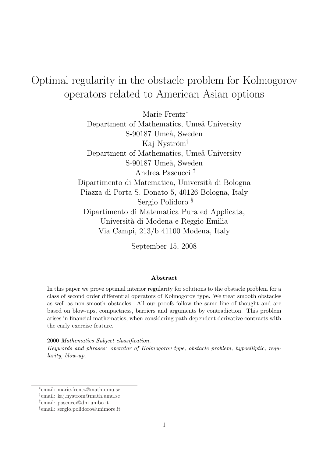# Optimal regularity in the obstacle problem for Kolmogorov operators related to American Asian options

Marie Frentz<sup>∗</sup> Department of Mathematics, Umeå University S-90187 Umeå, Sweden Kaj Nyström<sup>†</sup> Department of Mathematics, Umeå University S-90187 Umeå, Sweden Andrea Pascucci ‡ Dipartimento di Matematica, Universit`a di Bologna Piazza di Porta S. Donato 5, 40126 Bologna, Italy Sergio Polidoro § Dipartimento di Matematica Pura ed Applicata, Universit`a di Modena e Reggio Emilia Via Campi, 213/b 41100 Modena, Italy

September 15, 2008

#### Abstract

In this paper we prove optimal interior regularity for solutions to the obstacle problem for a class of second order differential operators of Kolmogorov type. We treat smooth obstacles as well as non-smooth obstacles. All our proofs follow the same line of thought and are based on blow-ups, compactness, barriers and arguments by contradiction. This problem arises in financial mathematics, when considering path-dependent derivative contracts with the early exercise feature.

2000 Mathematics Subject classification.

Keywords and phrases: operator of Kolmogorov type, obstacle problem, hypoelliptic, regularity, blow-up.

<sup>∗</sup> email: marie.frentz@math.umu.se

<sup>†</sup> email: kaj.nystrom@math.umu.se

<sup>‡</sup> email: pascucci@dm.unibo.it

<sup>§</sup> email: sergio.polidoro@unimore.it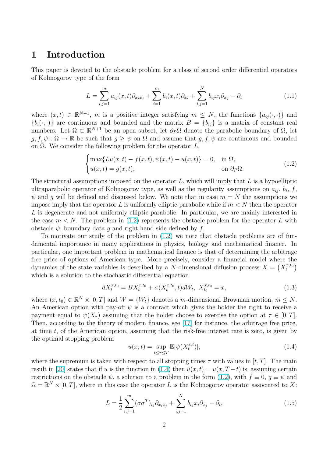## <span id="page-1-0"></span>1 Introduction

This paper is devoted to the obstacle problem for a class of second order differential operators of Kolmogorov type of the form

$$
L = \sum_{i,j=1}^{m} a_{ij}(x,t)\partial_{x_ix_j} + \sum_{i=1}^{m} b_i(x,t)\partial_{x_i} + \sum_{i,j=1}^{N} b_{ij}x_i\partial_{x_j} - \partial_t
$$
\n(1.1)

where  $(x,t) \in \mathbb{R}^{N+1}$ , m is a positive integer satisfying  $m \leq N$ , the functions  $\{a_{ij}(\cdot,\cdot)\}\$  and  ${b_i(\cdot,\cdot)}$  are continuous and bounded and the matrix  $B = {b_{ij}}$  is a matrix of constant real numbers. Let  $\Omega \subset \mathbb{R}^{N+1}$  be an open subset, let  $\partial_P \Omega$  denote the parabolic boundary of  $\Omega$ , let  $g, f, \psi : \overline{\Omega} \to \mathbb{R}$  be such that  $g \geq \psi$  on  $\overline{\Omega}$  and assume that  $g, f, \psi$  are continuous and bounded on  $\Omega$ . We consider the following problem for the operator  $L$ ,  $\overline{a}$ 

$$
\begin{cases}\n\max\{Lu(x,t) - f(x,t), \psi(x,t) - u(x,t)\} = 0, & \text{in } \Omega, \\
u(x,t) = g(x,t), & \text{on } \partial_P\Omega.\n\end{cases}
$$
\n(1.2)

The structural assumptions imposed on the operator  $L$ , which will imply that  $L$  is a hypoelliptic ultraparabolic operator of Kolmogorov type, as well as the regularity assumptions on  $a_{ij}$ ,  $b_i$ , f,  $\psi$  and g will be defined and discussed below. We note that in case  $m = N$  the assumptions we impose imply that the operator L is uniformly elliptic-parabolic while if  $m < N$  then the operator L is degenerate and not uniformly elliptic-parabolic. In particular, we are mainly interested in the case  $m < N$ . The problem in (1.2) represents the obstacle problem for the operator L with obstacle  $\psi$ , boundary data g and right hand side defined by f.

To motivate our study of the problem in (1.2) we note that obstacle problems are of fundamental importance in many applications in physics, biology and mathematical finance. In particular, one important problem in mathematical finance is that of determining the arbitrage free price of options of American type. More precisely, consider a financial model where the dynamics of the state variables is described by a N-dimensional diffusion process  $X = \left(X_t^{x,t_0}\right)$ which is a solution to the stochastic differential equation

$$
dX_t^{x,t_0} = BX_t^{x,t_0} + \sigma(X_t^{x,t_0}, t)dW_t, \ X_{t_0}^{x,t_0} = x,
$$
\n(1.3)

where  $(x, t_0) \in \mathbb{R}^N \times [0, T]$  and  $W = \{W_t\}$  denotes a m-dimensional Brownian motion,  $m \leq N$ . An American option with pay-off  $\psi$  is a contract which gives the holder the right to receive a payment equal to  $\psi(X_\tau)$  assuming that the holder choose to exercise the option at  $\tau \in [0, T]$ . Then, according to the theory of modern finance, see [17] for instance, the arbitrage free price, at time t, of the American option, assuming that the risk-free interest rate is zero, is given by the optimal stopping problem

$$
u(x,t) = \sup_{t \le \tau \le T} \mathbb{E}[\psi(X_t^{x,t})],\tag{1.4}
$$

where the supremum is taken with respect to all stopping times  $\tau$  with values in [t, T]. The main result in [20] states that if u is the function in (1.4) then  $\tilde{u}(x,t) = u(x, T-t)$  is, assuming certain restrictions on the obstacle  $\psi$ , a solution to a problem in the form (1.2), with  $f \equiv 0$ ,  $q \equiv \psi$  and  $\Omega = \mathbb{R}^N \times [0, T]$ , where in this case the operator L is the Kolmogorov operator associated to X:

$$
L = \frac{1}{2} \sum_{i,j=1}^{m} (\sigma \sigma^T)_{ij} \partial_{x_i x_j} + \sum_{i,j=1}^{N} b_{ij} x_i \partial_{x_j} - \partial_t.
$$
 (1.5)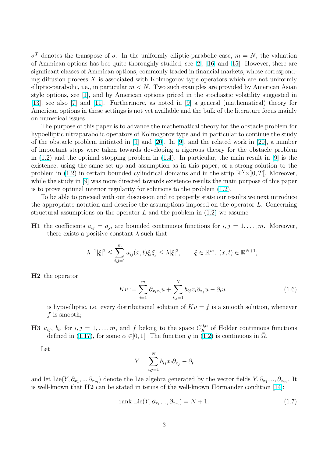<span id="page-2-0"></span>σ<sup>T</sup> denotes the transpose of σ. In the uniformly elliptic-parabolic case,  $m = N$ , the valuation of American options has bee quite thoroughly studied, see [2], [16] and [15]. However, there are significant classes of American options, commonly traded in financial markets, whose corresponding diffusion process  $X$  is associated with Kolmogorov type operators which are not uniformly elliptic-parabolic, i.e., in particular  $m < N$ . Two such exam[pl](#page-26-0)es [are](#page-27-0) prov[ide](#page-27-0)d by American Asian style options, see [1], and by American options priced in the stochastic volatility suggested in [13], see also [7] and [11]. Furthermore, as noted in [9] a general (mathematical) theory for American options in these settings is not yet available and the bulk of the literature focus mainly on numerical issue[s.](#page-26-0)

The purpo[se](#page-26-0) of this [pa](#page-26-0)per is to advance the mathem[ati](#page-26-0)cal theory for the obstacle problem for [hyp](#page-27-0)oelliptic ultraparabolic operators of Kolmogorov type and in particular to continue the study of the obstacle problem initiated in [9] and [20]. In [9], and the related work in [20], a number of important steps were taken towards developing a rigorous theory for the obstacle problem in  $(1.2)$  and the optimal stopping problem in  $(1.4)$ . In particular, the main result in [9] is the existence, using the same set-up an[d](#page-26-0) assum[pti](#page-27-0)on as [in](#page-26-0) this paper, of a strong s[olu](#page-27-0)tion to the problem in (1.2) in certain bounded cylindrical domains and in the strip  $\mathbb{R}^N \times ]0, T[$ . Moreover, wh[ile t](#page-1-0)he study in [9] was more directed toward[s exi](#page-1-0)stence results the main purpose of t[his](#page-26-0) paper is to prove optimal interior regularity for solutions to the problem (1.2).

To be ab[le to](#page-1-0) proceed with our discussion and to properly state our results we next introduce the appropriate no[ta](#page-26-0)tion and describe the assumptions imposed on the operator L. Concerning structural assumptions on the operator L and the problem in  $(1.2)$  [we](#page-1-0) assume

H1 the coefficients  $a_{ij} = a_{ji}$  are bounded continuous functions for  $i, j = 1, \ldots, m$ . Moreover, there exists a positive constant  $\lambda$  such that

$$
\lambda^{-1}|\xi|^2 \le \sum_{i,j=1}^m a_{ij}(x,t)\xi_i\xi_j \le \lambda|\xi|^2, \qquad \xi \in \mathbb{R}^m, (x,t) \in \mathbb{R}^{N+1};
$$

H2 the operator

$$
Ku := \sum_{i=1}^{m} \partial_{x_i x_i} u + \sum_{i,j=1}^{N} b_{ij} x_i \partial_{x_j} u - \partial_t u \tag{1.6}
$$

is hypoelliptic, i.e. every distributional solution of  $Ku = f$  is a smooth solution, whenever f is smooth;

**H3**  $a_{ij}$ ,  $b_i$ , for  $i, j = 1, ..., m$ , and f belong to the space  $C_K^{0,\alpha}$  of Hölder continuous functions defined in (1.17), for some  $\alpha \in ]0,1[$ . The function q in (1.2) is continuous in  $\overline{\Omega}$ .

Let

$$
Y = \sum_{i,j=1}^{N} b_{ij} x_i \partial_{x_j} - \partial_t
$$

and let Lie(Y,  $\partial_{x_1},...,\partial_{x_m}$ ) denote the Lie algebra generated by the vector fields  $Y,\partial_{x_1},...,\partial_{x_m}$ . It is well-known that  $H2$  can be stated in terms of the well-known Hörmander condition [14]:

$$
rank Lie(Y, \partial_{x_1}, \ldots, \partial_{x_m}) = N + 1. \tag{1.7}
$$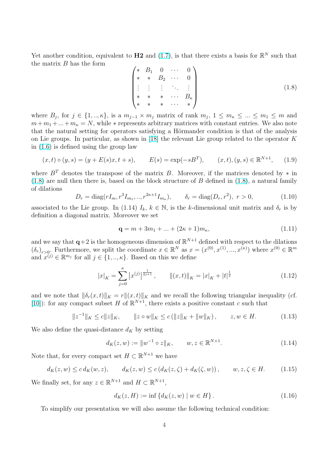<span id="page-3-0"></span>Yet another condition, equivalent to  $H2$  and  $(1.7)$ , is that there exists a basis for  $\mathbb{R}^N$  such that the matrix  $B$  has the form  $\overline{\phantom{a}}$  $\mathbf{r}$ 

$$
\begin{pmatrix}\n* & B_1 & 0 & \cdots & 0 \\
* & * & B_2 & \cdots & 0 \\
\vdots & \vdots & \vdots & \ddots & \vdots \\
* & * & * & \cdots & B_\kappa \\
* & * & * & \cdots & * \n\end{pmatrix}
$$
\n(1.8)

where  $B_j$ , for  $j \in \{1, ..., \kappa\}$ , is a  $m_{j-1} \times m_j$  matrix of rank  $m_j$ ,  $1 \leq m_{\kappa} \leq ... \leq m_1 \leq m$  and  $m+m_1+...+m_{\kappa}=N$ , while  $*$  represents arbitrary matrices with constant entries. We also note that the natural setting for operators satisfying a Hörmander condition is that of the analysis on Lie groups. In particular, as shown in [18] the relevant Lie group related to the operator K in (1.6) is defined using the group law

$$
(x,t) \circ (y,s) = (y + E(s)x, t + s), \qquad E(s) = \exp(-sB^T), \qquad (x,t), (y,s) \in \mathbb{R}^{N+1}, \qquad (1.9)
$$

wh[ere](#page-2-0)  $B<sup>T</sup>$  denotes the transpose of the matrix B. Moreover, if the matrices denoted by  $*$  in  $(1.8)$  are null then there is, based on the block structure of B defined in  $(1.8)$ , a natural family of dilations

$$
D_r = \text{diag}(rI_m, r^3I_{m_1}, \dots, r^{2\kappa+1}I_{m_\kappa}), \qquad \delta_r = \text{diag}(D_r, r^2), \ r > 0,
$$
 (1.10)

associated to the Lie group. In (1.14)  $I_k$ ,  $k \in \mathbb{N}$ , is the k-dimensional unit matrix and  $\delta_r$  is by definition a diagonal matrix. Moreover we set

$$
\mathbf{q} = m + 3m_1 + \dots + (2\kappa + 1)m_\kappa,\tag{1.11}
$$

and we say that  $q+2$  is the homogeneous dimension of  $\mathbb{R}^{N+1}$  defined with respect to the dilations  $(\delta_r)_{r>0}$ . Furthermore, we split the coordinate  $x \in \mathbb{R}^N$  as  $x = (x^{(0)}, x^{(1)}, ..., x^{(\kappa)})$  where  $x^{(0)} \in \mathbb{R}^m$ and  $x^{(j)} \in \mathbb{R}^{m_j}$  for all  $j \in \{1, ..., \kappa\}$ . Based on this we define

$$
|x|_{K} = \sum_{j=0}^{\kappa} |x^{(j)}|^{\frac{1}{2j+1}}, \qquad ||(x,t)||_{K} = |x|_{K} + |t|^{\frac{1}{2}} \qquad (1.12)
$$

and we note that  $\|\delta_r(x, t)\|_K = r\|(x, t)\|_K$  and we recall the following triangular inequality (cf. [10]): for any compact subset H of  $\mathbb{R}^{N+1}$ , there exists a positive constant c such that

$$
||z^{-1}||_K \le c||z||_K, \qquad ||z \circ w||_K \le c (||z||_K + ||w||_K), \qquad z, w \in H. \tag{1.13}
$$

[We](#page-26-0) also define the quasi-distance  $d_K$  by setting

$$
d_K(z, w) := \|w^{-1} \circ z\|_K, \qquad w, z \in \mathbb{R}^{N+1}.
$$
 (1.14)

Note that, for every compact set  $H \subset \mathbb{R}^{N+1}$  we have

$$
d_K(z, w) \le c d_K(w, z), \qquad d_K(z, w) \le c (d_K(z, \zeta) + d_K(\zeta, w)), \qquad w, z, \zeta \in H. \tag{1.15}
$$

We finally set, for any  $z \in \mathbb{R}^{N+1}$  and  $H \subset \mathbb{R}^{N+1}$ ,

$$
d_K(z, H) := \inf \{ d_K(z, w) \mid w \in H \}. \tag{1.16}
$$

To simplify our presentation we will also assume the following technical condition: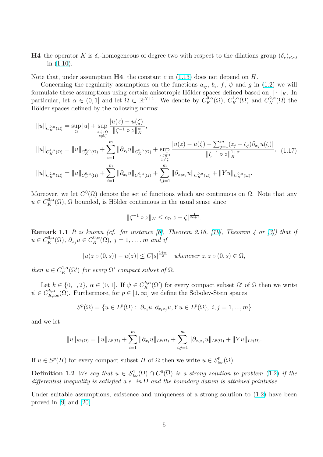<span id="page-4-0"></span>H4 the operator K is  $\delta_r$ -homogeneous of degree two with respect to the dilations group  $(\delta_r)_{r>0}$ in (1.10).

Note that, under assumption  $H4$ , the constant c in (1.13) does not depend on H.

Concerning the regularity assumptions on the functions  $a_{ij}$ ,  $b_i$ ,  $f$ ,  $\psi$  and  $g$  in (1.2) we will formulat[e thes](#page-3-0)e assumptions using certain anisotropic Hölder spaces defined based on  $\|\cdot\|_K$ . In particular, let  $\alpha \in (0,1]$  and let  $\Omega \subset \mathbb{R}^{N+1}$ . We de[note](#page-3-0) by  $C_K^{0,\alpha}(\Omega)$ ,  $C_K^{1,\alpha}(\Omega)$  and  $C_K^{2,\alpha}(\Omega)$  the Hölder spaces defined by the following norms:

$$
||u||_{C_K^{0,\alpha}(\Omega)} = \sup_{\Omega} |u| + \sup_{z,\zeta \in \Omega} \frac{|u(z) - u(\zeta)|}{\|\zeta^{-1} \circ z\|_K^{\alpha}},
$$
  
\n
$$
||u||_{C_K^{1,\alpha}(\Omega)} = ||u||_{C_K^{0,\alpha}(\Omega)} + \sum_{i=1}^m ||\partial_{x_i} u||_{C_K^{0,\alpha}(\Omega)} + \sup_{z,\zeta \in \Omega} \frac{|u(z) - u(\zeta) - \sum_{j=1}^m (z_j - \zeta_j)\partial_{x_j} u(\zeta)|}{\|\zeta^{-1} \circ z\|_K^{1+\alpha}}, \quad (1.17)
$$
  
\n
$$
||u||_{C_K^{2,\alpha}(\Omega)} = ||u||_{C_K^{0,\alpha}(\Omega)} + \sum_{i=1}^m ||\partial_{x_i} u||_{C_K^{0,\alpha}(\Omega)} + \sum_{i,j=1}^m ||\partial_{x_i} u||_{C_K^{0,\alpha}(\Omega)} + ||Yu||_{C_K^{0,\alpha}(\Omega)}.
$$

Moreover, we let  $C^0(\Omega)$  denote the set of functions which are continuous on  $\Omega$ . Note that any  $u \in C_K^{0,\alpha}(\Omega)$ ,  $\Omega$  bounded, is Hölder continuous in the usual sense since

$$
\|\zeta^{-1}\circ z\|_K\leq c_{\Omega}|z-\zeta|^{\frac{1}{2\kappa+1}}.
$$

**Remark 1.1** It is known (cf. for instance [6], Theorem 2.16, [19], Theorem 4 or [3]) that if  $u \in C^{0,\alpha}_{K}(\Omega)$ ,  $\partial_{x_j} u \in C^{0,\alpha}_{K}(\Omega)$ ,  $j = 1, \ldots, m$  and if

$$
|u(z \circ (0, s)) - u(z)| \le C|s|^{\frac{1+\alpha}{2}} \quad \text{whenever } z, z \circ (0, s) \in \Omega,
$$

then  $u \in C_K^{1,\alpha}(\Omega')$  for every  $\Omega'$  compact subset of  $\Omega$ .

Let  $k \in \{0, 1, 2\}, \ \alpha \in (0, 1]$ . If  $\psi \in C_K^{k, \alpha}(\Omega')$  for every compact subset  $\Omega'$  of  $\Omega$  then we write  $\psi \in C^{k,\alpha}_{K,\text{loc}}(\Omega)$ . Furthermore, for  $p \in [1,\infty]$  we define the Sobolev-Stein spaces

$$
S^p(\Omega)=\{u\in L^p(\Omega):\ \partial_{x_i}u,\partial_{x_ix_j}u,Yu\in L^p(\Omega),\ i,j=1,...,m\}
$$

and we let

$$
||u||_{S^{p}(\Omega)} = ||u||_{L^{p}(\Omega)} + \sum_{i=1}^{m} ||\partial_{x_{i}} u||_{L^{p}(\Omega)} + \sum_{i,j=1}^{m} ||\partial_{x_{i}x_{j}} u||_{L^{p}(\Omega)} + ||Yu||_{L^{p}(\Omega)}.
$$

If  $u \in S^p(H)$  for every compact subset H of  $\Omega$  then we write  $u \in S^p_{loc}(\Omega)$ .

**Definition 1.2** We say that  $u \in S^1_{loc}(\Omega) \cap C^0(\overline{\Omega})$  is a strong solution to problem (1.2) if the differential inequality is satisfied a.e. in  $\Omega$  and the boundary datum is attained pointwise.

Under suitable assumptions, existence and uniqueness of a strong solution to  $(1.2)$  [hav](#page-1-0)e been proved in [9] and [20].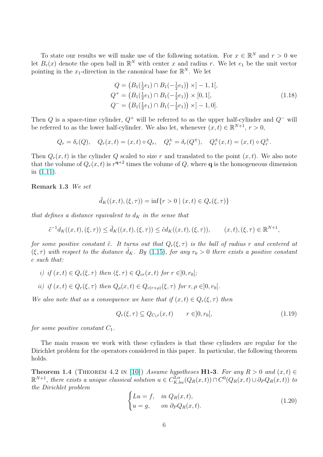To state our results we will make use of the following notation. For  $x \in \mathbb{R}^N$  and  $r > 0$  we let  $B_r(x)$  denote the open ball in  $\mathbb{R}^N$  with center x and radius r. We let  $e_1$  be the unit vector pointing in the  $x_1$ -direction in the canonical base for  $\mathbb{R}^N$ . We let

$$
Q = (B_1(\frac{1}{2}e_1) \cap B_1(-\frac{1}{2}e_1)) \times ] - 1, 1[,
$$
  
\n
$$
Q^+ = (B_1(\frac{1}{2}e_1) \cap B_1(-\frac{1}{2}e_1)) \times [0, 1[,
$$
  
\n
$$
Q^- = (B_1(\frac{1}{2}e_1) \cap B_1(-\frac{1}{2}e_1)) \times ] - 1, 0].
$$
\n(1.18)

Then Q is a space-time cylinder,  $Q^+$  will be referred to as the upper half-cylinder and  $Q^-$  will be referred to as the lower half-cylinder. We also let, whenever  $(x, t) \in \mathbb{R}^{N+1}$ ,  $r > 0$ ,

 $Q_r = \delta_r(Q)$ ,  $Q_r(x,t) = (x,t) \circ Q_r$ ,  $Q_r^{\pm} = \delta_r(Q^{\pm})$ ,  $Q_r^{\pm}(x,t) = (x,t) \circ Q_r^{\pm}$ .

Then  $Q_r(x,t)$  is the cylinder Q scaled to size r and translated to the point  $(x,t)$ . We also note that the volume of  $Q_r(x,t)$  is  $r^{q+2}$  times the volume of Q, where **q** is the homogeneous dimension in (1.11).

Remark 1.3 We set

$$
\tilde{d}_K((x,t),(\xi,\tau)) = \inf\{r > 0 \mid (x,t) \in Q_r(\xi,\tau)\}\
$$

that defines a distance equivalent to  $d_K$  in the sense that

$$
\tilde{c}^{-1}d_K((x,t),(\xi,\tau)) \le \tilde{d}_K((x,t),(\xi,\tau)) \le \tilde{c}d_K((x,t),(\xi,\tau)), \qquad (x,t),(\xi,\tau) \in \mathbb{R}^{N+1},
$$

for some positive constant  $\tilde{c}$ . It turns out that  $Q_r(\xi, \tau)$  is the ball of radius r and centered at  $(\xi, \tau)$  with respect to the distance  $d_K$ . By (1.15), for any  $r_0 > 0$  there exists a positive constant c such that:

i) if 
$$
(x,t) \in Q_r(\xi, \tau)
$$
 then  $(\xi, \tau) \in Q_{cr}(x,t)$  for  $r \in ]0, r_0[$ ;

$$
ii) \text{ if } (x,t) \in Q_r(\xi,\tau) \text{ then } Q_\rho(x,t) \in Q_{c(r+\rho)}(\xi,\tau) \text{ for } r,\rho \in ]0,r_0[.
$$

We also note that as a consequence we have that if  $(x, t) \in Q_r(\xi, \tau)$  then

$$
Q_r(\xi, \tau) \subseteq Q_{C_1r}(x, t) \qquad r \in ]0, r_0[, \qquad (1.19)
$$

for some positive constant  $C_1$ .

The main reason we work with these cylinders is that these cylinders are regular for the Dirichlet problem for the operators considered in this paper. In particular, the following theorem holds.

Theorem 1.4 (THEOREM 4.2 IN [10]) Assume hypotheses H1-3. For any  $R > 0$  and  $(x, t) \in$  $\mathbb{R}^{N+1}$ , there exists a unique classical solution  $u \in C_{K,loc}^{2,\alpha}(Q_R(x,t)) \cap C^0(Q_R(x,t) \cup \partial_P Q_R(x,t))$  to the Dirichlet problem  $\overline{a}$ 

$$
\begin{cases}\nLu = f, & \text{in } Q_R(x, t), \\
u = g, & \text{on } \partial_P Q_R(x, t).\n\end{cases}
$$
\n(1.20)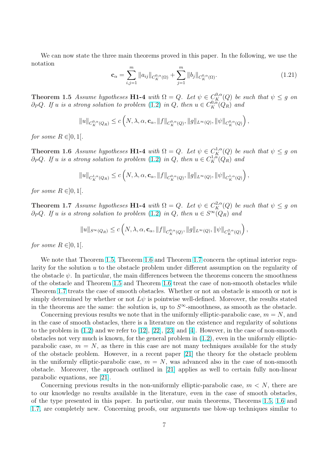<span id="page-6-0"></span>We can now state the three main theorems proved in this paper. In the following, we use the notation

$$
\mathbf{c}_{\alpha} = \sum_{i,j=1}^{m} \|a_{ij}\|_{C_K^{0,\alpha}(\Omega)} + \sum_{j=1}^{m} \|b_j\|_{C_K^{0,\alpha}(\Omega)}.
$$
 (1.21)

**Theorem 1.5** Assume hypotheses **H1-4** with  $\Omega = Q$ . Let  $\psi \in C_K^{0,\alpha}(Q)$  be such that  $\psi \leq g$  on  $\partial_P Q$ . If u is a strong solution to problem (1.2) in Q, then  $u \in C^{0,\alpha}_K(Q_R)$  and

$$
||u||_{C^{0,\alpha}_{K}(Q_{R})}\leq c\left(N,\lambda,\alpha,\mathbf{c}_{\alpha},\|f\|_{C^{0,\alpha}_{K}(Q)},\|g\|_{L^{\infty}(Q)},\|\psi\|_{C^{0,\alpha}_{K}(Q)}\right),
$$

for some  $R \in ]0,1[$ .

**Theorem 1.6** Assume hypotheses **H1-4** with  $\Omega = Q$ . Let  $\psi \in C_K^{1,\alpha}(Q)$  be such that  $\psi \leq g$  on  $\partial_P Q$ . If u is a strong solution to problem (1.2) in Q, then  $u \in C_K^{1,\alpha}(Q_R)$  and

$$
||u||_{C_K^{1,\alpha}(Q_R)} \le c\left(N,\lambda,\alpha,\mathbf{c}_\alpha, \|f\|_{C_K^{0,\alpha}(Q)},\|g\|_{L^\infty(Q)},\|\psi\|_{C_K^{1,\alpha}(Q)}\right),
$$

for some  $R \in ]0,1[$ .

**Theorem 1.7** Assume hypotheses **H1-4** with  $\Omega = Q$ . Let  $\psi \in C_K^{2,\alpha}(Q)$  be such that  $\psi \leq g$  on  $\partial_P Q$ . If u is a strong solution to problem (1.2) in Q, then  $u \in S^{\infty}(Q_R)$  and

$$
||u||_{S^{\infty}(Q_R)} \leq c\left(N, \lambda, \alpha, \mathbf{c}_{\alpha}, ||f||_{C_K^{0,\alpha}(Q)}, ||g||_{L^{\infty}(Q)}, ||\psi||_{C_K^{2,\alpha}(Q)}\right),
$$

for some  $R \in ]0,1[$ .

We note that Theorem 1.5, Theorem 1.6 and Theorem 1.7 concern the optimal interior regularity for the solution  $u$  to the obstacle problem under different assumption on the regularity of the obstacle  $\psi$ . In particular, the main differences between the theorems concern the smoothness of the obstacle and Theorem 1.5 and T[heore](#page-10-0)m 1.6 treat the case of non-smooth obstacles while Theorem 1.7 treats the cas[e of](#page-9-0) smooth obstacles. Whether or not an obstacle is smooth or not is simply determined by whether or not  $L\psi$  is pointwise well-defined. Moreover, the results stated in the theorems are the same[: th](#page-9-0)e solution is, [up to](#page-10-0)  $S^{\infty}$ -smoothness, as smooth as the obstacle.

Concerning previous results we note that in the uniformly elliptic-parabolic case,  $m = N$ , and in the case of smooth obstacles, there is a literature on the existence and regularity of solutions to the problem in  $(1.2)$  and we refer to  $[12]$ ,  $[22]$ ,  $[23]$  and  $[4]$ . However, in the case of non-smooth obstacles not very much is known, for the general problem in (1.2), even in the uniformly ellipticparabolic case,  $m = N$ , as there in this case are not many techniques available for the study of the obstacle pr[oble](#page-1-0)m. However, in [a r](#page-27-0)e[cent](#page-27-0) [pap](#page-27-0)er [2[1\]](#page-26-0) the theory for the obstacle problem in the uniformly elliptic-parabolic case,  $m = N$ , was advan[ced a](#page-1-0)lso in the case of non-smooth obstacle. Moreover, the approach outlined in [21] applies as well to certain fully non-linear parabolic equations, see [21].

Concerning previous results in the non-uniformly e[llip](#page-27-0)tic-parabolic case,  $m < N$ , there are to our knowledge no results available in the lit[era](#page-27-0)ture, even in the case of smooth obstacles, of the type presented in [thi](#page-27-0)s paper. In particular, our main theorems, Theorems 1.5, 1.6 and 1.7, are completely new. Concerning proofs, our arguments use blow-up techniques similar to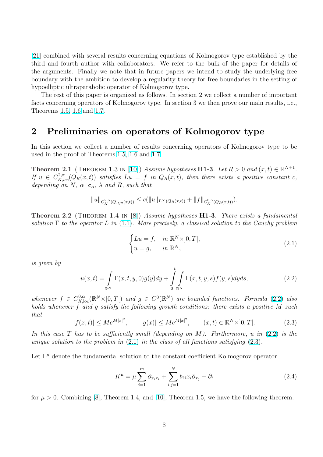<span id="page-7-0"></span>[21] combined with several results concerning equations of Kolmogorov type established by the third and fourth author with collaborators. We refer to the bulk of the paper for details of the arguments. Finally we note that in future papers we intend to study the underlying free [bou](#page-27-0)ndary with the ambition to develop a regularity theory for free boundaries in the setting of hypoelliptic ultraparabolic operator of Kolmogorov type.

The rest of this paper is organized as follows. In section 2 we collect a number of important facts concerning operators of Kolmogorov type. In section 3 we then prove our main results, i.e., Theorems 1.5, 1.6 and 1.7.

### 2 Pr[eli](#page-9-0)[min](#page-10-0)a[rie](#page-6-0)s on operators of Kolmogorov type

In this section we collect a number of results concerning operators of Kolmogorov type to be used in the proof of Theorems 1.5, 1.6 and 1.7.

**Theorem 2.1** (THEOREM 1.3 IN [10]) Assume hypotheses **H1-3**. Let  $R > 0$  and  $(x, t) \in \mathbb{R}^{N+1}$ . If  $u \in C^{2,\alpha}_{K,loc}(Q_R(x,t))$  $u \in C^{2,\alpha}_{K,loc}(Q_R(x,t))$  $u \in C^{2,\alpha}_{K,loc}(Q_R(x,t))$  satisfies  $Lu = f$  in  $Q_R(x,t)$ , then there exists a positive constant c, depending on N,  $\alpha$ ,  $\mathbf{c}_{\alpha}$ ,  $\lambda$  and [R](#page-9-0), [such](#page-10-0) that

$$
||u||_{C_K^{2,\alpha}(Q_{R/2}(x,t))} \leq c(||u||_{L^{\infty}(Q_R(x,t))} + ||f||_{C_K^{0,\alpha}(Q_R(x,t))}).
$$

**Theorem 2.2** (THEOREM 1.4 IN [8]) Assume hypotheses  $H1-3$ . There exists a fundamental solution  $\Gamma$  to the operator L in (1.1). More precisely, a classical solution to the Cauchy problem

$$
\begin{cases}\nLu = f, & \text{in } \mathbb{R}^N \times ]0, T[, \\
u = g, & \text{in } \mathbb{R}^N,\n\end{cases}
$$
\n(2.1)

is given by

$$
u(x,t) = \int_{\mathbb{R}^N} \Gamma(x,t,y,0)g(y)dy + \int_0^t \int_{\mathbb{R}^N} \Gamma(x,t,y,s)f(y,s)dyds,
$$
\n(2.2)

whenever  $f \in C^{0,\alpha}_{K,\text{loc}}(\mathbb{R}^N\times]0,T[)$  and  $g \in C^0(\mathbb{R}^N)$  are bounded functions. Formula (2.2) also holds whenever f and g satisfy the following growth conditions: there exists a positive M such that

$$
|f(x,t)| \le Me^{M|x|^2}, \qquad |g(x)| \le Me^{M|x|^2}, \qquad (x,t) \in \mathbb{R}^N \times ]0,T[.
$$
 (2.3)

In this case T has to be sufficiently small (depending on M). Furthermore, u in  $(2.2)$  is the unique solution to the problem in  $(2.1)$  in the class of all functions satisfying  $(2.3)$ .

Let  $\Gamma^{\mu}$  denote the fundamental solution to the constant coefficient Kolmogorov operator

$$
K^{\mu} = \mu \sum_{i=1}^{m} \partial_{x_i x_i} + \sum_{i,j=1}^{N} b_{ij} x_i \partial_{x_j} - \partial_t
$$
\n(2.4)

for  $\mu > 0$ . Combining [8], Theorem 1.4, and [10], Theorem 1.5, we have the following theorem.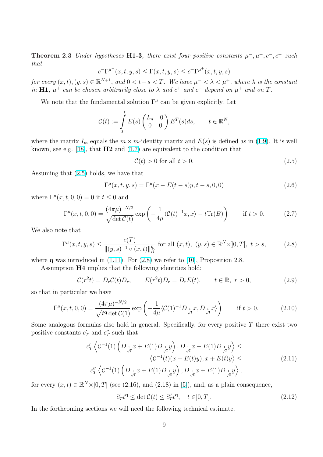<span id="page-8-0"></span>**Theorem 2.3** Under hypotheses H1-3, there exist four positive constants  $\mu^-$ ,  $\mu^+$ ,  $c^-$ ,  $c^+$  such that

$$
c^{-\Gamma^{\mu^{-}}}(x,t,y,s) \leq \Gamma(x,t,y,s) \leq c^{+\Gamma^{\mu^{+}}}(x,t,y,s)
$$

for every  $(x,t), (y,s) \in \mathbb{R}^{N+1}$ , and  $0 < t-s < T$ . We have  $\mu^- < \lambda < \mu^+$ , where  $\lambda$  is the constant in H1,  $\mu^+$  can be chosen arbitrarily close to  $\lambda$  and  $c^+$  and  $c^-$  depend on  $\mu^+$  and on T.

We note that the fundamental solution  $\Gamma^{\mu}$  can be given explicitly. Let

$$
\mathcal{C}(t) := \int\limits_0^t E(s) \begin{pmatrix} I_m & 0 \\ 0 & 0 \end{pmatrix} E^T(s) ds, \qquad t \in \mathbb{R}^N,
$$

where the matrix  $I_m$  equals the  $m \times m$ -identity matrix and  $E(s)$  is defined as in (1.9). It is well known, see e.g. [18], that  $H2$  and (1.7) are equivalent to the condition that

$$
\mathcal{C}(t) > 0 \text{ for all } t > 0. \tag{2.5}
$$

Assuming that ([2.5](#page-27-0)) holds, we hav[e tha](#page-2-0)t

$$
\Gamma^{\mu}(x,t,y,s) = \Gamma^{\mu}(x - E(t - s)y, t - s, 0, 0)
$$
\n(2.6)

where  $\Gamma^{\mu}(x, t, 0, 0) = 0$  if  $t \leq 0$  and

$$
\Gamma^{\mu}(x,t,0,0) = \frac{(4\pi\mu)^{-N/2}}{\sqrt{\det \mathcal{C}(t)}} \exp\left(-\frac{1}{4\mu} \langle \mathcal{C}(t)^{-1}x, x \rangle - t \text{Tr}(B)\right) \quad \text{if } t > 0. \tag{2.7}
$$

We also note that

$$
\Gamma^{\mu}(x,t,y,s) \le \frac{c(T)}{\|(y,s)^{-1} \circ (x,t)\|_{K}^{\mathbf{q}}}
$$
 for all  $(x,t), (y,s) \in \mathbb{R}^{N} \times ]0,T[, t > s,$  (2.8)

where q was introduced in  $(1.11)$ . For  $(2.8)$  we refer to  $[10]$ , Proposition 2.8.

Assumption H4 implies that the following identities hold:

$$
\mathcal{C}(r^2t) = D_r \mathcal{C}(t)D_r, \qquad E(r^2t)D_r = D_r E(t), \qquad t \in \mathbb{R}, \ r > 0,
$$
\n
$$
(2.9)
$$

so that in particular we hav[e](#page-3-0)

$$
\Gamma^{\mu}(x,t,0,0) = \frac{(4\pi\mu)^{-N/2}}{\sqrt{t^{\mathbf{q}}\det\mathcal{C}(1)}} \exp\left(-\frac{1}{4\mu}\langle\mathcal{C}(1)^{-1}D_{\frac{1}{\sqrt{t}}}x,D_{\frac{1}{\sqrt{t}}}x\rangle\right) \quad \text{if } t > 0. \tag{2.10}
$$

Some analogous formulas also hold in general. Specifically, for every positive  $T$  there exist two positive constants  $c'_T$  and  $c''_T$  such that

$$
c'_{T} \left\langle C^{-1}(1) \left( D_{\frac{1}{\sqrt{t}}} x + E(1) D_{\frac{1}{\sqrt{t}}} y \right), D_{\frac{1}{\sqrt{t}}} x + E(1) D_{\frac{1}{\sqrt{t}}} y \right\rangle \le \\ \left\langle C^{-1}(t) (x + E(t) y), x + E(t) y \right\rangle \le \\ c''_{T} \left\langle C^{-1}(1) \left( D_{\frac{1}{\sqrt{t}}} x + E(1) D_{\frac{1}{\sqrt{t}}} y \right), D_{\frac{1}{\sqrt{t}}} x + E(1) D_{\frac{1}{\sqrt{t}}} y \right\rangle, \tag{2.11}
$$

for every  $(x, t) \in \mathbb{R}^N \times ]0, T]$  (see (2.16), and (2.18) in [5]), and, as a plain consequence,

$$
\tilde{c}'_T t^{\mathbf{q}} \le \det \mathcal{C}(t) \le \tilde{c}''_T t^{\mathbf{q}}, \quad t \in ]0, T]. \tag{2.12}
$$

In the forthcoming sections we will need the following [te](#page-26-0)chnical estimate.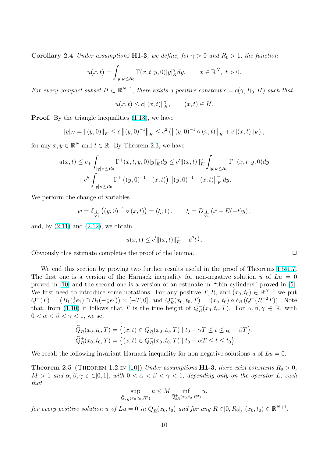<span id="page-9-0"></span>Corollary 2.4 Under assumptions H1-3, we define, for  $\gamma > 0$  and  $R_0 > 1$ , the function

$$
u(x,t) = \int_{|y|_K \le R_0} \Gamma(x,t,y,0)|y|_K^{\gamma} dy, \qquad x \in \mathbb{R}^N, \ t > 0.
$$

For every compact subset  $H \subset \mathbb{R}^{N+1}$ , there exists a positive constant  $c = c(\gamma, R_0, H)$  such that

$$
u(x,t)\leq c\|(x,t)\|_K^\gamma,\qquad (x,t)\in H.
$$

**Proof.** By the triangle inequalities  $(1.13)$ , we have

$$
|y|_K = \left\|(y,0)\right\|_K \le c \left\|(y,0)^{-1}\right\|_K \le c^2 \left(\left\|(y,0)^{-1} \circ (x,t)\right\|_K + c \|(x,t)\|_K\right),
$$

for any  $x, y \in \mathbb{R}^N$  and  $t \in \mathbb{R}$ . By Th[eorem](#page-3-0) 2.3, we have

$$
u(x,t) \le c_+ \int_{|y|_K \le R_0} \Gamma^+(x,t,y,0)|y|_K^{\gamma} dy \le c' \|(x,t)\|_K^{\gamma} \int_{|y|_K \le R_0} \Gamma^+(x,t,y,0) dy
$$
  
+  $c'' \int_{|y|_K \le R_0} \Gamma^+\left((y,0)^{-1} \circ (x,t)\right) \|(y,0)^{-1} \circ (x,t)\|_K^{\gamma} dy.$ 

We perform the change of variables

$$
w = \delta_{\frac{1}{\sqrt{t}}} ((y, 0)^{-1} \circ (x, t)) = (\xi, 1), \qquad \xi = D_{\frac{1}{\sqrt{t}}} (x - E(-t)y),
$$

and, by  $(2.11)$  and  $(2.12)$ , we obtain

$$
u(x,t) \le c' ||(x,t)||_K^{\gamma} + c''t^{\frac{\gamma}{2}}.
$$

Obviousl[y thi](#page-8-0)s esti[mate c](#page-8-0)ompletes the proof of the lemma.  $\Box$ 

We end this section by proving two further results useful in the proof of Theorems 1.5-1.7. The first one is a version of the Harnack inequality for non-negative solution u of  $Lu = 0$ proved in [10] and the second one is a version of an estimate in "thin cylinders" proved in [5]. We first need to introduce some notations. For any positive  $T, R$ , and  $(x_0, t_0) \in \mathbb{R}^{N+1}$  we [put](#page-6-0) we first need to<br>  $Q^{-}(T) = \left(B_1(\frac{1}{2})\right)$  $(\frac{1}{2}e_1) \cap B_1(-\frac{1}{2})$  $(\frac{1}{2}e_1)$  × [-T, 0], and  $Q_R^ R_{R}(x_0, t_0, T) = (x_0, t_0) \circ \delta_{R}(Q^{-}(R^{-2}T)).$  Note that, from [\(1](#page-26-0).10) it follows that T is the true height of  $Q_R^ R(x_0, t_0, T)$ . For  $\alpha, \beta, \gamma \in \mathbb{R}$ , w[ith](#page-26-0)  $0 < \alpha < \beta < \gamma < 1$ , we set

$$
\widetilde{Q}_R^-(x_0, t_0, T) = \left\{ (x, t) \in Q_R^-(x_0, t_0, T) \mid t_0 - \gamma T \le t \le t_0 - \beta T \right\},\
$$
  

$$
\widetilde{Q}_R^+(x_0, t_0, T) = \left\{ (x, t) \in Q_R^-(x_0, t_0, T) \mid t_0 - \alpha T \le t \le t_0 \right\}.
$$

We recall the following invariant Harnack inequality for non-negative solutions u of  $Lu = 0$ .

**Theorem 2.5** (THEOREM 1.2 IN [10]) Under assumptions **H1-3**, there exist constants  $R_0 > 0$ ,  $M > 1$  and  $\alpha, \beta, \gamma, \varepsilon \in ]0,1[$ , with  $0 < \alpha < \beta < \gamma < 1$ , depending only on the operator L, such that

$$
\sup_{\widetilde{Q}_{\varepsilon R}^-(x_0,t_0,R^2)} u \le M \inf_{\widetilde{Q}_{\varepsilon R}^+(x_0,t_0,R^2)} u,
$$

for every positive solution u of  $Lu = 0$  in  $Q_R^ R_{R}(x_0, t_0)$  and for any  $R \in ]0, R_0[, (x_0, t_0) \in \mathbb{R}^{N+1}.$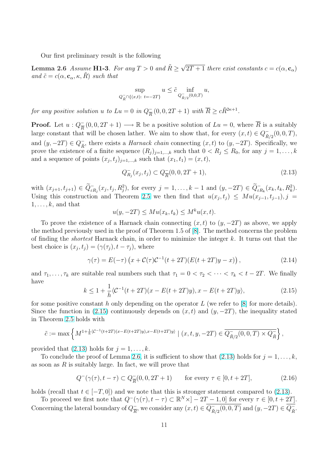Our first preliminary result is the following

<span id="page-10-0"></span>**Lemma 2.6** Assume **H1-3**. For any  $T > 0$  and  $\tilde{R} \ge \sqrt{2}$  $2T+1$  there exist constants  $c = c(\alpha, \mathbf{c}_{\alpha})$ and  $\tilde{c} = c(\alpha, \mathbf{c}_{\alpha}, \kappa, R)$  such that

$$
\sup_{Q_{\bar{R}}^- \cap \{(x,t): t = -2T\}} u \leq \tilde{c} \inf_{Q_{\bar{R}/2}^-(0,0,T)} u,
$$

for any positive solution u to  $Lu = 0$  in  $Q_{\overline{P}}^ \overline{R}(0,0,2T+1)$  with  $\overline{R}\geq c\tilde{R}^{2\kappa+1}$ .

**Proof.** Let  $u: Q_{\overline{R}}^ \frac{1}{R}(0,0,2T+1) \longrightarrow \mathbb{R}$  be a positive solution of  $Lu = 0$ , where  $\overline{R}$  is a suitably large constant that will be chosen lather. We aim to show that, for every  $(x,t) \in Q^ \bar{R}_{/2}(0,0,T),$ and  $(y, -2T) \in Q^-_{\tilde{p}}$  $\bar{R}$ , there exists a *Harnack chain* connecting  $(x, t)$  to  $(y, -2T)$ . Specifically, we prove the existence of a finite sequence  $(R_j)_{j=1,\dots,k}$  such that  $0 < R_j \le R_0$ , for any  $j = 1, \dots, k$ and a sequence of points  $(x_j, t_j)_{j=1,\dots,k}$  such that  $(x_1, t_1) = (x, t)$ ,

$$
Q_{R_j}^-(x_j, t_j) \subset Q_{\overline{R}}^-(0, 0, 2T+1),
$$
\n(2.13)

with  $(x_{j+1}, t_{j+1}) \in \tilde{Q}_{\varepsilon R_j}^-(x_j, t_j, R_j^2)$ , for every  $j = 1, ..., k-1$  and  $(y, -2T) \in \tilde{Q}_{\varepsilon R_k}^-(x_k, t_k, R_k^2)$ . Using this construction and Theorem 2.5 we then find that  $u(x_j, t_j) \leq Mu(x_{j-1}, t_{j-1}), j =$  $1, \ldots, k$ , and that

$$
u(y, -2T) \leq Mu(x_k, t_k) \leq M^k u(x, t).
$$

To prove the existence of a Harnac[k cha](#page-9-0)in connecting  $(x, t)$  to  $(y, -2T)$  as above, we apply the method previously used in the proof of Theorem 1.5 of [8]. The method concerns the problem of finding the *shortest* Harnack chain, in order to minimize the integer  $k$ . It turns out that the best choice is  $(x_j, t_j) = (\gamma(\tau_j), t - \tau_j)$ , where

$$
\gamma(\tau) = E(-\tau) \left( x + C(\tau) C^{-1} (t + 2T) (E(t + 2T)y - x) \right),
$$
\n(2.14)

and  $\tau_1, \ldots, \tau_k$  are suitable real numbers such that  $\tau_1 = 0 < \tau_2 < \cdots < \tau_k < t - 2T$ . We finally have

$$
k \le 1 + \frac{1}{h} \langle \mathcal{C}^{-1}(t + 2T)(x - E(t + 2T)y), x - E(t + 2T)y \rangle,
$$
\n(2.15)

for some positive constant h only depending on the operator L (we refer to  $[8]$  for more details). Since the function in (2.15) continuously depends on  $(x, t)$  and  $(y, -2T)$ , the inequality stated in Theorem 2.5 holds with

$$
\tilde{c}:=\max\left\{M^{1+\frac{1}{h}\langle\mathcal{C}^{-1}(t+2T)(x-E(t+2T)y),x-E(t+2T)y\rangle} \mid (x,t,y,-2T)\in\overline{Q_{\tilde{R}/2}^-(0,0,T)\times Q_{\tilde{R}}^-}\right\},
$$

provided that  $(2.13)$  holds for  $j = 1, \ldots, k$ .

To conclude the proof of Lemma 2.6, it is sufficient to show that  $(2.13)$  holds for  $j = 1, \ldots, k$ , as soon as  $R$  is suitably large. In fact, we will prove that

$$
Q^{-}(\gamma(\tau), t - \tau) \subset Q_{\overline{R}}^{-}(0, 0, 2T + 1) \quad \text{for every } \tau \in [0, t + 2T],
$$
 (2.16)

holds (recall that  $t \in [-T, 0]$ ) and we note that this is stronger statement compared to (2.13).

To proceed we first note that  $Q^-(\gamma(\tau), t - \tau) \subset \mathbb{R}^N \times ]-2T-1, 0]$  for every  $\tau \in [0, t+2T]$ . Concerning the lateral boundary of  $Q_{\overline{R}}^ \frac{\overline{R}}{R}$ , we consider any  $(x, t) \in \overline{Q_{\tilde{R}}^{-}}$  $\frac{1}{\tilde{R}/2}(0,0,T)$  and  $(y, -2T) \in \overline{Q_{\tilde{R}}^{-}}$  $\bar{\tilde{R}}$ .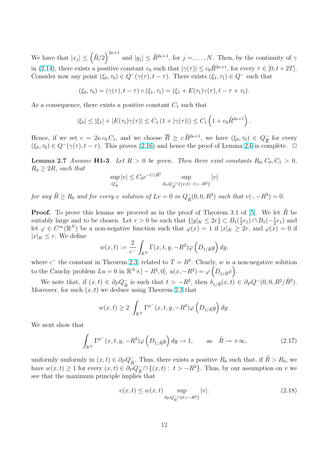<span id="page-11-0"></span>We have that  $|x_j| \leq (\tilde{R}/2)$  $\sqrt{2\kappa+1}$ and  $|y_j| \leq \tilde{R}^{2\kappa+1}$ , for  $j = \ldots, N$ . Then, by the continuity of  $\gamma$ in (2.14), there exists a positive constant  $c_0$  such that  $|\gamma(\tau)| \leq c_0 \tilde{R}^{2\kappa+1}$ , for every  $\tau \in [0, t + 2T]$ . Consider now any point  $(\xi_0, \tau_0) \in Q^-(\gamma(\tau), t - \tau)$ . There exists  $(\xi_1, \tau_1) \in Q^-$  such that

$$
(\xi_0, \tau_0) = (\gamma(\tau), t - \tau) \circ (\xi_1, \tau_1) = (\xi_1 + E(\tau_1)\gamma(\tau), t - \tau + \tau_1).
$$

As a consequence, there exists a positive constant  $C_1$  such that

$$
|\xi_0| \leq |\xi_1| + |E(\tau_1)\gamma(\tau)| \leq C_1 (1 + |\gamma(\tau)|) \leq C_1 (1 + c_0 \tilde{R}^{2\kappa + 1}).
$$

Hence, if we set  $c = 2\kappa c_0 C_1$ , and we choose  $\overline{R} \geq c \tilde{R}^{2\kappa+1}$ , we have  $(\xi_0, \tau_0) \in Q_{\overline{R}}^ \frac{1}{R}$  for every  $(\xi_0, \tau_0) \in Q^-(\gamma(\tau), t - \tau)$ . This proves (2.16) and hence the proof of Lemma 2.6 is complete.  $\Box$ 

**Lemma 2.7** Assume **H1-3**. Let  $R > 0$  be given. Then there exist constants  $R_0, C_0, C_1 > 0$ ,  $R_0 \geq 2R$ , such that

$$
\sup_{Q_R^-}|v| \leq C_0 e^{-C_1 \tilde{R}^2} \sup_{\partial_P Q_R^- \cap \{(x,t): t > -R^2\}} |v|
$$

for any  $\tilde{R} \ge R_0$  and for every v solution of  $Lv = 0$  in  $Q_{\tilde{R}}^ \bar{R}(0,0,R^2)$  such that  $v(\cdot, -R^2) = 0$ .

**Proof.** To prove this lemma we proceed as in the proof of Theorem 3.1 of [5]. We let R be suitably large and to be chosen. Let  $r > 0$  be such that  $\{|y|_K \leq 2r\} \subset B_1(\frac{1}{2})$  $(\frac{1}{2}e_1) \cap B_1(-\frac{1}{2})$  $(\frac{1}{2}e_1)$  and let  $\varphi \in C^{\infty}(\mathbb{R}^{N})$  be a non-negative function such that  $\varphi(x) = 1$  if  $|x|_{K} \geq 2r$ , and  $\varphi(x) = 0$  if  $|x|_K \leq r$ . We define  $\overline{a}$ ´

$$
w(x,t) := \frac{2}{c^-} \int_{\mathbb{R}^N} \Gamma(x,t,y,-R^2) \varphi\left(D_{1/\tilde{R}}y\right) dy,
$$

where  $c^-$  the constant in Theorem 2.3, related to  $T = R^2$ . Clearly, w is a non-negative solution to the Cauchy problem  $Lu = 0$  in  $\mathbb{R}^N \times ] - R^2, 0], u(x, -R^2) = \varphi\left(D_{1/\tilde{R}}x\right).$ 

We note that, if  $(x,t) \in \partial_P Q^-_{\tilde{R}}$  $\overline{\tilde{R}}$  is such that  $t > -R^2$ , then  $\delta_{1/\tilde{R}}(x,t) \in \partial_P Q^-(0,0,R^2/\tilde{R}^2)$ . Moreover, for such  $(x, t)$  we deduc[e usi](#page-14-0)ng Theorem 2.3 that

$$
w(x,t) \ge 2 \int_{\mathbb{R}^N} \Gamma^{\mu^-}(x,t,y,-R^2)\varphi\left(D_{1/\tilde{R}}y\right)dy.
$$

We next show that

$$
\int_{\mathbb{R}^N} \Gamma^{\mu^-}(x, t, y, -R^2) \varphi\left(D_{1/\tilde{R}}y\right) dy \to 1, \quad \text{as} \quad \tilde{R} \to +\infty,
$$
\n(2.17)

uniformly uniformly in  $(x,t) \in \partial_P Q^-_{\tilde{R}}$  $\bar{R}$ . Thus, there exists a positive  $R_0$  such that, if  $\tilde{R} > R_0$ , we have  $w(x,t) \ge 1$  for every  $(x,t) \in \partial_P^{\infty} Q_{\tilde{R}} \cap \{(x,t) : t > -R^2\}$ . Thus, by our assumption on v we see that the maximum principle implies that

$$
v(x,t) \le w(x,t) \sup_{\partial_P Q_{\tilde{R}}^- \cap \{t > -R^2\}} |v|. \tag{2.18}
$$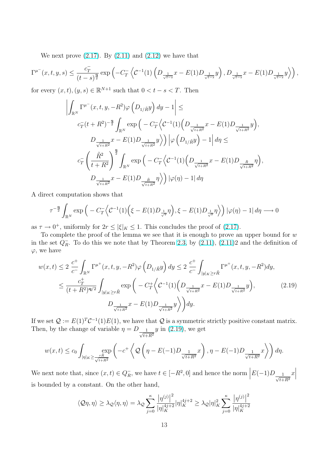We next prove  $(2.17)$ . By  $(2.11)$  and  $(2.12)$  we have that

$$
\Gamma^{\mu^-}(x,t,y,s) \leq \frac{c_T^-}{(t-s)^{\frac{\alpha}{2}}} \exp\left(-C_T^-\left\langle \mathcal{C}^{-1}(1)\left(D_{\frac{1}{\sqrt{t-s}}}x - E(1)D_{\frac{1}{\sqrt{t-s}}}y\right), D_{\frac{1}{\sqrt{t-s}}}x - E(1)D_{\frac{1}{\sqrt{t-s}}}y\right\rangle\right),
$$

for every  $(x, t), (y, s) \in \mathbb{R}^{N+1}$  such that  $0 < t - s < T$ . Then

$$
\left| \int_{\mathbb{R}^N} \Gamma^{\mu^-}(x, t, y, -R^2) \varphi \left( D_{1/\tilde{R}} y \right) dy - 1 \right| \le
$$
\n
$$
c_T^-(t + R^2)^{-\frac{\alpha}{2}} \int_{\mathbb{R}^N} \exp \left( -C_T^- \left\langle \mathcal{C}^{-1}(1) \left( D_{\frac{1}{\sqrt{t + R^2}}} x - E(1) D_{\frac{1}{\sqrt{t + R^2}}} y \right) \right\rangle
$$
\n
$$
D_{\frac{1}{\sqrt{t + R^2}}} x - E(1) D_{\frac{1}{\sqrt{t + R^2}}} y \right\rangle \left| \varphi \left( D_{1/\tilde{R}} y \right) - 1 \right| d\eta \le
$$
\n
$$
c_T^- \left( \frac{\tilde{R}^2}{t + R^2} \right)^{\frac{\alpha}{2}} \int_{\mathbb{R}^N} \exp \left( -C_T^- \left\langle \mathcal{C}^{-1}(1) \left( D_{\frac{1}{\sqrt{t + R^2}}} x - E(1) D_{\frac{\tilde{R}}{\sqrt{t + R^2}}} \eta \right) \right\rangle
$$
\n
$$
D_{\frac{1}{\sqrt{t + R^2}}} x - E(1) D_{\frac{\tilde{R}}{\sqrt{t + R^2}}} \eta \right\rangle \left| \varphi(\eta) - 1 \right| d\eta
$$

A direct computation shows that

$$
\tau^{-\frac{\alpha}{2}} \int_{\mathbb{R}^N} \exp\Big(-C_T^{-1}\Big(\mathcal{C}^{-1}(1)\Big(\xi - E(1)D_{\frac{1}{\sqrt{\tau}}}\eta\Big), \xi - E(1)D_{\frac{1}{\sqrt{\tau}}}\eta\Big) \Big) \, |\varphi(\eta) - 1| \, d\eta \longrightarrow 0
$$

as  $\tau \to 0^+$ , uniformly for  $2r \leq |\xi|_K \leq 1$ . This concludes the proof of (2.17).

To complete the proof of the lemma we see that it is enough to prove an upper bound for  $w$ in the set  $Q_R^ R<sub>R</sub>$ . To do this we note that by Theorem 2.3, by  $(2.11)$ ,  $(2.11)2$  and the definition of  $\varphi$ , we have

$$
w(x,t) \le 2 \frac{c^+}{c^-} \int_{\mathbb{R}^N} \Gamma^{\mu^+}(x,t,y,-R^2) \varphi\left(D_{1/\tilde{R}}y\right) dy \le 2 \frac{c^+}{c^-} \int_{|y|_K \ge r\tilde{R}} \Gamma^{\mu^+}(x,t,y,-R^2) dy, \\
\le \frac{c^+_T}{(t+R^2)^{q/2}} \int_{|y|_K \ge r\tilde{R}} \exp\left(-C^+_T \left\langle C^{-1}(1) \left(D_{\frac{1}{\sqrt{t+R^2}}}x - E(1)D_{\frac{1}{\sqrt{t+R^2}}}y\right)\right\rangle\right),\n\tag{2.19}
$$
\n
$$
D_{\frac{1}{\sqrt{t+R^2}}}x - E(1)D_{\frac{1}{\sqrt{t+R^2}}}y\right) dy.
$$

If we set  $\mathcal{Q} := E(1)^T \mathcal{C}^{-1}(1) E(1)$ , we have that  $\mathcal{Q}$  is a symmetric strictly positive constant matrix. Then, by the change of variable  $\eta = D_{\underline{\hspace{1cm}}\underline{\hspace{1cm}}}$  $t+R^2$  $y$  in  $(2.19)$ , we get

$$
w(x,t) \le c_0 \int_{|\eta|_K \ge \frac{r\tilde{R}}{\sqrt{t+R^2}}} \left( -c^+ \left\langle \mathcal{Q}\left(\eta - E(-1)D_{\frac{1}{\sqrt{t+R^2}}}x\right), \eta - E(-1)D_{\frac{1}{\sqrt{t+R^2}}}x \right\rangle \right) d\eta.
$$

We next note that, since  $(x, t) \in Q_R^ \overline{R}$ , we have  $t \in [-R^2, 0]$  and hence the norm  $E(-1)D_{1}$  $t + R^2$  $\overline{x}$ ¯ ¯ ¯ is bounded by a constant. On the other hand,

$$
\langle \mathcal{Q}\eta,\eta\rangle\geq \lambda_{\mathcal{Q}}\langle \eta,\eta\rangle=\lambda_{\mathcal{Q}}\sum_{j=0}^{\kappa}\frac{\left|\eta^{(j)}\right|^{2}}{|\eta|_{K}^{4j+2}}|\eta|_{K}^{4j+2}\geq \lambda_{\mathcal{Q}}|\eta|_{K}^{2}\sum_{j=0}^{\kappa}\frac{\left|\eta^{(j)}\right|^{2}}{|\eta|_{K}^{4j+2}}
$$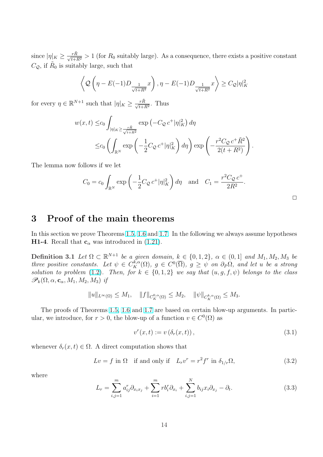since  $|\eta|_K \ge \frac{r\tilde{R}}{\sqrt{t+R^2}} > 1$  (for  $R_0$  suitably large). As a consequence, there exists a positive constant  $C_{\mathcal{Q}}$ , if  $\tilde{R}_0$  is suitably large, such that

$$
\left\langle \mathcal{Q}\left(\eta - E(-1)D_{\frac{1}{\sqrt{t+R^2}}}x\right), \eta - E(-1)D_{\frac{1}{\sqrt{t+R^2}}}x\right\rangle \geq C_{\mathcal{Q}}|\eta|_K^2
$$

for every  $\eta \in \mathbb{R}^{N+1}$  such that  $|\eta|_K \geq \frac{r\tilde{R}}{\sqrt{t+R^2}}$ . Thus

$$
w(x,t) \leq c_0 \int_{|\eta|_K \geq \frac{r\tilde{R}}{\sqrt{t+R^2}}} \exp\left(-C_{\mathcal{Q}} c^+ |\eta|_K^2\right) d\eta
$$
  

$$
\leq c_0 \left(\int_{\mathbb{R}^N} \exp\left(-\frac{1}{2}C_{\mathcal{Q}} c^+ |\eta|_K^2\right) d\eta\right) \exp\left(-\frac{r^2 C_{\mathcal{Q}} c^+ \tilde{R}^2}{2(t+R^2)}\right).
$$

The lemma now follows if we let

$$
C_0 = c_0 \int_{\mathbb{R}^N} \exp\left(-\frac{1}{2}C_{\mathcal{Q}}c^+ |\eta|_K^2\right) d\eta \text{ and } C_1 = \frac{r^2 C_{\mathcal{Q}}c^+}{2R^2}.
$$

#### 3 Proof of the main theorems

In this section we prove Theorems 1.5, 1.6 and 1.7. In the following we always assume hypotheses **H1-4**. Recall that  $c_{\alpha}$  was introduced in (1.21).

**Definition 3.1** Let  $\Omega \subset \mathbb{R}^{N+1}$  b[e a](#page-9-0) given do[mai](#page-6-0)n,  $k \in \{0, 1, 2\}$ ,  $\alpha \in (0, 1]$  and  $M_1, M_2, M_3$  be three positive constants. Let  $\psi \in C_K^{\tilde{k},\alpha}(\Omega)$ ,  $g \in C^0(\overline{\Omega})$ ,  $g \geq \psi$  on  $\partial_P\Omega$ , and let u be a strong solution to problem (1.2). Then, for  $k \in \{0,1,2\}$  we say that  $(u, g, f, \psi)$  belongs to the class  $\mathscr{P}_k(\Omega,\alpha,\mathbf{c}_\alpha,M_1,M_2,M_3)$  if

$$
||u||_{L^{\infty}(\Omega)} \leq M_1, \quad ||f||_{C_K^{0,\alpha}(\Omega)} \leq M_2, \quad ||\psi||_{C_K^{k,\alpha}(\Omega)} \leq M_3.
$$

The proofs of Theorems 1.5, 1.6 and 1.7 are based on certain blow-up arguments. In particular, we introduce, for  $r > 0$ , the blow-up of a function  $v \in C^{0}(\Omega)$  as

$$
v^{r}(x,t) := v\left(\delta_{r}(x,t)\right),\tag{3.1}
$$

whenever  $\delta_r(x,t) \in \Omega$ . A direct computation shows that

$$
Lv = f \text{ in } \Omega \quad \text{if and only if} \quad L_r v^r = r^2 f^r \text{ in } \delta_{1/r} \Omega,
$$
\n(3.2)

where

$$
L_r = \sum_{i,j=1}^m a_{ij}^r \partial_{x_i x_j} + \sum_{i=1}^m r b_i^r \partial_{x_i} + \sum_{i,j=1}^N b_{ij} x_i \partial_{x_j} - \partial_t.
$$
 (3.3)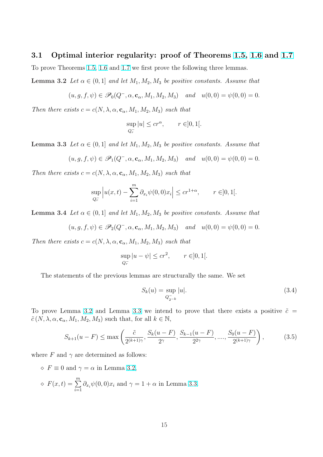#### <span id="page-14-0"></span>3.1 Optimal interior regularity: proof of Theorems 1.5, 1.6 and 1.7

To prove Theorems 1.5, 1.6 and 1.7 we first prove the following three lemmas.

**Lemma 3.2** Let  $\alpha \in (0,1]$  and let  $M_1, M_2, M_3$  be positive constants. As[sume](#page-9-0) [that](#page-10-0)

$$
(u, g, f, \psi) \in \mathscr{P}_0(Q^-, \alpha, \mathbf{c}_\alpha, M_1, M_2, M_3)
$$
 and  $u(0, 0) = \psi(0, 0) = 0$ .

Then there exists  $c = c(N, \lambda, \alpha, \mathbf{c}_{\alpha}, M_1, M_2, M_3)$  such that

$$
\sup_{Q_r^-}|u|\leq c r^{\alpha},\qquad r\in ]0,1[.
$$

**Lemma 3.3** Let  $\alpha \in (0,1]$  and let  $M_1, M_2, M_3$  be positive constants. Assume that

$$
(u, g, f, \psi) \in \mathscr{P}_1(Q^-, \alpha, \mathbf{c}_{\alpha}, M_1, M_2, M_3)
$$
 and  $u(0, 0) = \psi(0, 0) = 0$ .

Then there exists  $c = c(N, \lambda, \alpha, \mathbf{c}_{\alpha}, M_1, M_2, M_3)$  such that

$$
\sup_{Q_r^-} \left| u(x,t) - \sum_{i=1}^m \partial_{x_i} \psi(0,0) x_i \right| \le c r^{1+\alpha}, \qquad r \in ]0,1[.
$$

**Lemma 3.4** Let  $\alpha \in (0,1]$  and let  $M_1, M_2, M_3$  be positive constants. Assume that

$$
(u, g, f, \psi) \in \mathscr{P}_2(Q^-, \alpha, \mathbf{c}_\alpha, M_1, M_2, M_3)
$$
 and  $u(0, 0) = \psi(0, 0) = 0$ .

Then there exists  $c = c(N, \lambda, \alpha, \mathbf{c}_{\alpha}, M_1, M_2, M_3)$  such that

$$
\sup_{Q_r^-} |u - \psi| \le cr^2, \qquad r \in ]0, 1[.
$$

The statements of the previous lemmas are structurally the same. We set

$$
S_k(u) = \sup_{Q_{2^{-k}}^-} |u|.
$$
 (3.4)

To prove Lemma 3.2 and Lemma 3.3 we intend to prove that there exists a positive  $\tilde{c}$  =  $\tilde{c}(N, \lambda, \alpha, \mathbf{c}_{\alpha}, M_1, M_2, M_3)$  such that, for all  $k \in \mathbb{N}$ ,

$$
S_{k+1}(u-F) \le \max\left(\frac{\tilde{c}}{2^{(k+1)\gamma}}, \frac{S_k(u-F)}{2^{\gamma}}, \frac{S_{k-1}(u-F)}{2^{2\gamma}}, \dots, \frac{S_0(u-F)}{2^{(k+1)\gamma}}\right),\tag{3.5}
$$

where F and  $\gamma$  are determined as follows:

 $\Diamond$  F  $\equiv$  0 and  $\gamma = \alpha$  in Lemma 3.2,

$$
\diamond
$$
  $F(x,t) = \sum_{i=1}^{m} \partial_{x_i} \psi(0,0) x_i$  and  $\gamma = 1 + \alpha$  in Lemma 3.3.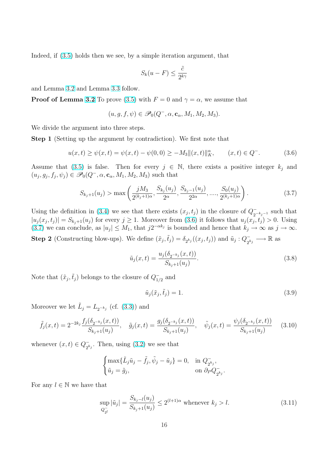<span id="page-15-0"></span>Indeed, if (3.5) holds then we see, by a simple iteration argument, that

$$
S_k(u - F) \le \frac{\tilde{c}}{2^{k\gamma}}
$$

and Lemma [3.](#page-14-0)2 and Lemma 3.3 follow.

**Proof of Lemma 3.2** To prove (3.5) with  $F = 0$  and  $\gamma = \alpha$ , we assume that

$$
(u, g, f, \psi) \in \mathscr{P}_0(Q^-, \alpha, \mathbf{c}_\alpha, M_1, M_2, M_3).
$$

We divide the argu[men](#page-7-0)t into thre[e ste](#page-14-0)ps.

Step 1 (Setting up the argument by contradiction). We first note that

$$
u(x,t) \ge \psi(x,t) = \psi(x,t) - \psi(0,0) \ge -M_3 \|(x,t)\|_K^{\alpha}, \qquad (x,t) \in Q^-.
$$
 (3.6)

Assume that (3.5) is false. Then for every  $j \in \mathbb{N}$ , there exists a positive integer  $k_j$  and  $(u_j, g_j, f_j, \psi_j) \in \mathscr{P}_0(Q^-, \alpha, \mathbf{c}_\alpha, M_1, M_2, M_3)$  such that

$$
S_{k_j+1}(u_j) > \max\left(\frac{jM_3}{2^{(k_j+1)\alpha}}, \frac{S_{k_j}(u_j)}{2^{\alpha}}, \frac{S_{k_j-1}(u_j)}{2^{2\alpha}}, \dots, \frac{S_0(u_j)}{2^{(k_j+1)\alpha}}\right).
$$
(3.7)

Using the definition in (3.4) we see that there exists  $(x_j, t_j)$  in the closure of  $Q_{\sigma}^ \frac{1}{2^{-k_j-1}}$  such that  $|u_j(x_j, t_j)| = S_{k_j+1}(u_j)$  for every  $j \ge 1$ . Moreover from (3.6) it follows that  $u_j(x_j, t_j) > 0$ . Using (3.7) we can conclude, as  $|u_j| \leq M_1$ , that  $j2^{-\alpha k_j}$  is bounded and hence that  $k_j \to \infty$  as  $j \to \infty$ . **Step 2** (Constructing b[low](#page-14-0)-ups). We define  $(\tilde{x}_j, \tilde{t}_j) = \delta_{2^{k_j}}((x_j, t_j))$  and  $\tilde{u}_j : Q_{2^k}^-$ 

 $\bar{a}_2^{\phantom{1}} \rightarrow \mathbb{R}$  as

$$
\tilde{u}_j(x,t) = \frac{u_j(\delta_{2^{-k_j}}(x,t))}{S_{k_j+1}(u_j)}.
$$
\n(3.8)

Note that  $(\tilde{x}_j, \tilde{t}_j)$  belongs to the closure of  $Q_1^ \frac{1}{2}$  and

$$
\tilde{u}_j(\tilde{x}_j, \tilde{t}_j) = 1.
$$
\n(3.9)

Moreover we let  $\tilde{L}_j = L_{2^{-k_j}}$  (cf. (3.3)) and

$$
\tilde{f}_j(x,t) = 2^{-2k_j} \frac{f_j(\delta_{2^{-k_j}}(x,t))}{S_{k_j+1}(u_j)}, \quad \tilde{g}_j(x,t) = \frac{g_j(\delta_{2^{-k_j}}(x,t))}{S_{k_j+1}(u_j)}, \quad \tilde{\psi}_j(x,t) = \frac{\psi_j(\delta_{2^{-k_j}}(x,t))}{S_{k_j+1}(u_j)} \tag{3.10}
$$

whenever  $(x, t) \in Q^-_{\alpha}$  $_{2^{k_j}}^-$ . Then, using (3.2) we see that

$$
\begin{cases} \max\{\tilde{L}_j\tilde{u}_j - \tilde{f}_j, \tilde{\psi}_j - \tilde{u}_j\} = 0, & \text{in } Q_{2^{k_j}}^-, \\ \tilde{u}_j = \tilde{g}_j, & \text{on } \partial_P Q_{2^{k_j}}^-. \end{cases}
$$

For any  $l \in \mathbb{N}$  we have that

$$
\sup_{Q_{2l}^-} |\tilde{u}_j| = \frac{S_{k_j - l}(u_j)}{S_{k_j + 1}(u_j)} \le 2^{(l+1)\alpha} \text{ whenever } k_j > l.
$$
\n(3.11)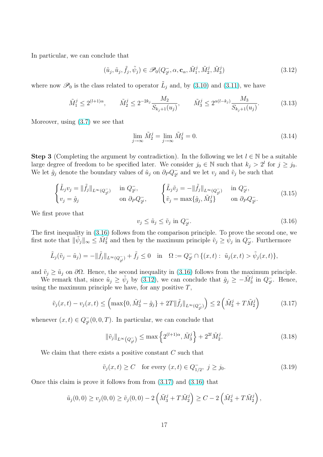<span id="page-16-0"></span>In particular, we can conclude that

$$
(\tilde{u}_j, \tilde{u}_j, \tilde{f}_j, \tilde{\psi}_j) \in \mathscr{P}_0(Q_{2^l}^-, \alpha, \mathbf{c}_\alpha, \tilde{M}_1^j, \tilde{M}_2^j, \tilde{M}_3^j)
$$
\n(3.12)

where now  $\mathscr{P}_0$  is the class related to operator  $\tilde{L}_j$  and, by (3.10) and (3.11), we have

$$
\tilde{M}_1^j \le 2^{(l+1)\alpha}, \qquad \tilde{M}_2^j \le 2^{-2k_j} \frac{M_2}{S_{k_j+1}(u_j)}, \qquad \tilde{M}_3^j \le 2^{\alpha(l-k_j)} \frac{M_3}{S_{k_j+1}(u_j)}.\tag{3.13}
$$

Moreover, using (3.7) we see that

$$
\lim_{j \to \infty} \tilde{M}_2^j = \lim_{j \to \infty} \tilde{M}_3^j = 0.
$$
\n(3.14)

Step 3 (Completing the argument by contradiction). In the following we let  $l \in \mathbb{N}$  be a suitable large degree of freedom to be specified later. We consider  $j_0 \in \mathbb{N}$  such that  $k_j > 2^l$  for  $j \geq j_0$ . We let  $\hat{g}_j$  denote the boundary values of  $\tilde{u}_j$  on  $\partial_P Q_{\mathfrak{I}}^ _{2^l}^-$  and we let  $v_j$  and  $\tilde{v}_j$  be such that

$$
\begin{cases}\n\tilde{L}_j v_j = \|\tilde{f}_j\|_{L^\infty(Q_{2^l}^-)} & \text{in } Q_{2^l}^-, \\
v_j = \hat{g}_j & \text{on } \partial_P Q_{2^l}^-, \\
\end{cases}\n\qquad\n\begin{cases}\n\tilde{L}_j \tilde{v}_j = -\|\tilde{f}_j\|_{L^\infty(Q_{2^l}^-)} & \text{in } Q_{2^l}^-, \\
\tilde{v}_j = \max\{\hat{g}_j, \tilde{M}_3^j\} & \text{on } \partial_P Q_{2^l}^-. \\
\end{cases}\n\tag{3.15}
$$

We first prove that

$$
v_j \le \tilde{u}_j \le \tilde{v}_j \text{ in } Q_{2^l}^-. \tag{3.16}
$$

The first inequality in (3.16) follows from the comparison principle. To prove the second one, we first note that  $\|\tilde{\psi}_j\|_{\infty} \leq \tilde{M}_3^j$  and then by the maximum principle  $\tilde{v}_j \geq \tilde{\psi}_j$  in  $Q_{2^l}$  $\overline{a}$ . Furthermore

$$
\tilde{L}_j(\tilde{v}_j - \tilde{u}_j) = -\|\tilde{f}_j\|_{L^{\infty}(Q_{2^l}^-)} + \tilde{f}_j \le 0 \quad \text{in} \quad \Omega := Q_{2^l}^- \cap \{(x, t) : \tilde{u}_j(x, t) > \tilde{\psi}_j(x, t)\},
$$

and  $\tilde{v}_j \geq \tilde{u}_j$  on  $\partial\Omega$ . Hence, the second inequality in (3.16) follows from the maximum principle.

We remark that, since  $\tilde{u}_j \ge \tilde{\psi}_j$  by (3.12), we can conclude that  $\hat{g}_j \ge -\tilde{M}_3^j$  in  $Q_{2^l}$  $_{2^l}^-$ . Hence, using the maximum principle we have, for any positive  $T$ ,

$$
\tilde{v}_j(x,t) - v_j(x,t) \le \left( \max\{0, \tilde{M}_3^j - \hat{g}_j\} + 2T \|\tilde{f}_j\|_{L^\infty(Q_{2^l}^-)} \right) \le 2\left(\tilde{M}_3^j + T\tilde{M}_2^j\right) \tag{3.17}
$$

whenever  $(x, t) \in Q_{2l}^ _{2^l}(0,0,T)$ . In particular, we can conclude that

$$
\|\tilde{v}_j\|_{L^{\infty}\left(Q_{2^l}^-\right)} \leq \max\left\{2^{(l+1)\alpha}, \tilde{M}_3^j\right\} + 2^{2l} \tilde{M}_2^j. \tag{3.18}
$$

We claim that there exists a positive constant C such that

$$
\tilde{v}_j(x,t) \ge C
$$
 for every  $(x,t) \in Q_{1/2}^-, j \ge j_0.$  (3.19)

Once this claim is prove it follows from from (3.17) and (3.16) that

$$
\tilde{u}_j(0,0) \ge v_j(0,0) \ge \tilde{v}_j(0,0) - 2\left(\tilde{M}_3^j + T\tilde{M}_2^j\right) \ge C - 2\left(\tilde{M}_3^j + T\tilde{M}_2^j\right),
$$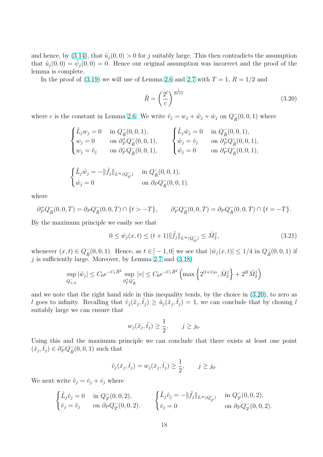<span id="page-17-0"></span>and hence, by (3.14), that  $\tilde{u}_j(0,0) > 0$  for j suitably large. This then contradicts the assumption that  $\tilde{u}_j(0,0) = \tilde{\psi}_j(0,0) = 0$ . Hence our original assumption was incorrect and the proof of the lemma is complete.

In the proo[f of \(](#page-16-0)3.19) we will use of Lemma 2.6 and 2.7 with  $T = 1$ ,  $R = 1/2$  and

$$
\tilde{R} = \left(\frac{2^l}{c}\right)^{\frac{1}{2\kappa+1}}\tag{3.20}
$$

where c is the constant in Lemma 2.6. We write  $\tilde{v}_j = w_j + \tilde{w}_j + \hat{w}_j$  on  $Q_{\tilde{R}}^ \overline{\tilde{R}}(0,0,1)$  where

$$
\begin{cases} \tilde{L}_j w_j = 0 & \text{ in } Q^-_{\tilde{R}}(0,0,1), \\ w_j = 0 & \text{ on } \partial^+_P Q^-_{\tilde{R}}(0,0,1), \\ w_j = \tilde{v}_j & \text{ on } \partial^-_P Q^-_{\tilde{R}}(0,0,1), \end{cases} \quad \begin{cases} \tilde{L}_j \tilde{w}_j = 0 & \text{ in } Q^-_{\tilde{R}}(0,0,1), \\ \tilde{w}_j = \tilde{v}_j & \text{ on } \partial^+_P Q^-_{\tilde{R}}(0,0,1), \\ \tilde{w}_j = 0 & \text{ on } \partial^-_P Q^-_{\tilde{R}}(0,0,1), \end{cases}
$$

$$
\begin{cases} \tilde{L}_j \hat{w}_j = -\|\tilde{f}_j\|_{L^{\infty}(Q_{2^l}^-)} & \text{in } Q_{\tilde{R}}^-(0,0,1), \\ \hat{w}_j = 0 & \text{on } \partial_P Q_{\tilde{R}}^-(0,0,1). \end{cases}
$$

where

$$
\partial^+_P Q^-_{\tilde{R}}(0,0,T) = \partial_P Q^-_{\tilde{R}}(0,0,T) \cap \{t > -T\}, \qquad \partial^-_P Q^-_{\tilde{R}}(0,0,T) = \partial_P Q^-_{\tilde{R}}(0,0,T) \cap \{t = -T\}.
$$

By the maximum principle we easily see that

$$
0 \le \hat{w}_j(x,t) \le (t+1) \|\tilde{f}_j\|_{L^{\infty}(Q_{2^l}^-)} \le \tilde{M}_2^j,
$$
\n(3.21)

whenever  $(x, t) \in Q^-_{\tilde{p}}$  $\overline{R}(0, 0, 1)$ . Hence, as  $t \in ]-1, 0[$  we see that  $|\hat{w}_j(x, t)| \leq 1/4$  in  $Q_{\overline{R}}$  $\bar{\tilde{R}}(0,0,1)$  if  $j$  is sufficiently large. Moreover, by Lemma 2.7 and  $(3.18)$ 

$$
\sup_{Q_{1/2}^-} |\tilde{w}_j| \leq C_0 e^{-C_1 \tilde{R}^2} \sup_{\partial_P^+ Q_{\tilde{R}}^-} |v| \leq C_0 e^{-C_1 \tilde{R}^2} \left( \max \left\{ 2^{(l+1)\alpha}, \tilde{M}_3^j \right\} + 2^{2l} \tilde{M}_2^j \right)
$$

and we note that the right hand side in this inequality tends, by the choice in (3.20), to zero as l goes to infinity. Recalling that  $\tilde{v}_j(\tilde{x}_j, \tilde{t}_j) \geq \tilde{u}_j(\tilde{x}_j, \tilde{t}_j) = 1$ , we can conclude that by chosing l suitably large we can ensure that

$$
w_j(\tilde{x}_j, \tilde{t}_j) \ge \frac{1}{2}, \qquad j \ge j_0.
$$

Using this and the maximum principle we can conclude that there exists at least one point  $(\bar{x}_j, \bar{t}_j) \in \partial_P^- Q^-_{\tilde{R}}$  $\overline{\tilde{R}}(0,0,1)$  such that

$$
\tilde{v}_j(\bar{x}_j, \bar{t}_j) = w_j(\bar{x}_j, \bar{t}_j) \ge \frac{1}{2}, \qquad j \ge j_0.
$$

We next write  $\tilde{v}_j = \tilde{v}_j + \hat{v}_j$  where

$$
\begin{cases} \tilde{L}_j \tilde{v}_j = 0 & \text{in } Q_{2^l}(0,0,2), \\ \tilde{v}_j = \tilde{v}_j & \text{on } \partial_P Q_{2^l}(0,0,2). \end{cases} \qquad \begin{cases} \tilde{L}_j \hat{v}_j = -\|\tilde{f}_j\|_{L^\infty(Q_{2^l}^-)} & \text{in } Q_{2^l}(0,0,2), \\ \hat{v}_j = 0 & \text{on } \partial_P Q_{2^l}^-(0,0,2). \end{cases}
$$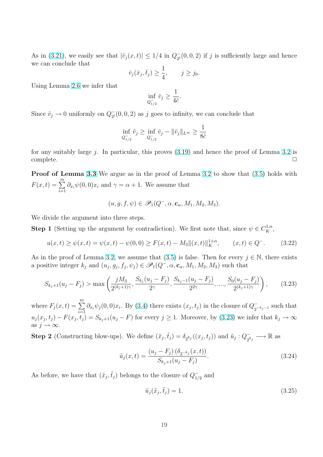<span id="page-18-0"></span>As in (3.21), we easily see that  $|\hat{v}_j(x,t)| \leq 1/4$  in  $Q_{pl}^ _{2^l}(0,0,2)$  if j is sufficiently large and hence we can conclude that

$$
\check{v}_j(\bar{x}_j, \bar{t}_j) \ge \frac{1}{4}, \qquad j \ge j_0.
$$

Using [Lemm](#page-17-0)a 2.6 we infer that

$$
\inf_{Q_{1/2}^-} \check{v}_j \ge \frac{1}{4\tilde{c}}.
$$

Since  $\hat{v}_j \to 0$  [unifo](#page-10-0)rmly on  $Q_{2^l}$  $\overline{e}_2(0,0,2)$  as j goes to infinity, we can conclude that

$$
\inf_{Q_{1/2}^-} \tilde{v}_j \ge \inf_{Q_{1/2}^-} \check{v}_j - ||\hat{v}_j||_{L^{\infty}} \ge \frac{1}{8\tilde{c}}
$$

for any suitably large  $j$ . In particular, this proves  $(3.19)$  and hence the proof of Lemma 3.2 is  $\Box$   $\Box$ 

Proof o[f Lem](#page-16-0)ma 3.3 We argue as in the proof of Lemma 3.2 to show that  $(3.5)$  hold[s wi](#page-7-0)th  $F(x, t) = \sum_{n=1}^{m}$  $\sum_{i=1} \partial_{x_i} \psi(0,0)x_i$  and  $\gamma = \alpha + 1$ . We assume that

$$
(u, g, f, \psi) \in \mathscr{P}_1(Q^-, \alpha, \mathbf{c}_\alpha, M_1, M_2, M_3).
$$

We divide the argument into three steps.

**Step 1** (Setting up the argument by contradiction). We first note that, since  $\psi \in C_K^{1,\alpha}$ ,

$$
u(x,t) \ge \psi(x,t) = \psi(x,t) - \psi(0,0) \ge F(x,t) - M_3 \|(x,t)\|_{K}^{1+\alpha}, \qquad (x,t) \in Q^{-}.
$$
 (3.22)

As in the proof of Lemma 3.2, we assume that (3.5) is false. Then for every  $j \in \mathbb{N}$ , there exists a positive integer  $k_j$  and  $(u_j, g_j, f_j, \psi_j) \in \mathscr{P}_1(Q^-, \alpha, \mathbf{c}_\alpha, M_1, M_2, M_3)$  such that

$$
S_{k_j+1}(u_j - F_j) > \max\left(\frac{jM_3}{2^{(k_j+1)\gamma}}, \frac{S_{k_j}(u_j - F_j)}{2^{\gamma}}, \frac{S_{k_j-1}(u_j - F_j)}{2^{2\gamma}}, \dots, \frac{S_0(u_j - F_j)}{2^{(k_j+1)\gamma}}\right),\tag{3.23}
$$

where  $F_j(x,t) = \sum_{i=1}^{m}$  $\sum_{i=1} \partial_{x_i} \psi_j(0,0)x_i$ . By (3.4) there exists  $(x_j, t_j)$  in the closure of  $Q_2^ \frac{1}{2^{-k_j-1}}$  such that  $u_j(x_j,t_j) - F(x_j,t_j) = S_{k_j+1}(u_j - F)$  for every  $j \ge 1$ . Moreover, by (3.23) we infer that  $k_j \to \infty$ as  $j \to \infty$ .

**Step 2** (Constructing blow-ups). We [defi](#page-14-0)ne  $(\tilde{x}_j, \tilde{t}_j) = \delta_{2^{k_j}}((x_j, t_j))$  and  $\tilde{u}_j : Q_{2^k}^ \bar{a}_2^{\phantom{1}} \rightarrow \mathbb{R}$  as

$$
\tilde{u}_j(x,t) = \frac{(u_j - F_j)(\delta_{2^{-k_j}}(x,t))}{S_{k_j+1}(u_j - F_j)}.
$$
\n(3.24)

As before, we have that  $(\tilde{x}_j, \tilde{t}_j)$  belongs to the closure of  $Q_1^ \frac{1}{2}$  and

$$
\tilde{u}_j(\tilde{x}_j, \tilde{t}_j) = 1.
$$
\n(3.25)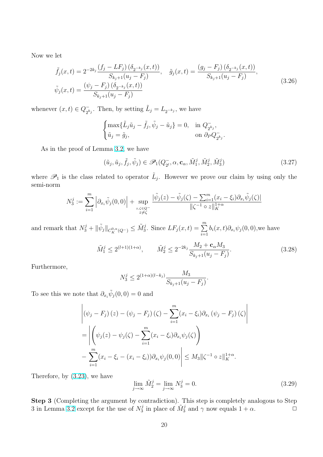Now we let

$$
\tilde{f}_j(x,t) = 2^{-2k_j} \frac{(f_j - LF_j) (\delta_{2^{-k_j}}(x,t))}{S_{k_j+1}(u_j - F_j)}, \quad \tilde{g}_j(x,t) = \frac{(g_j - F_j) (\delta_{2^{-k_j}}(x,t))}{S_{k_j+1}(u_j - F_j)},
$$
\n
$$
\tilde{\psi}_j(x,t) = \frac{(\psi_j - F_j) (\delta_{2^{-k_j}}(x,t))}{S_{k_j+1}(u_j - F_j)}.
$$
\n(3.26)

whenever  $(x, t) \in Q_{\alpha}^ _{2^{k_j}}^-$ . Then, by setting  $\tilde{L}_j = L_{2^{-k_j}}$ , we have

$$
\begin{cases} \max\{\tilde{L}_j\tilde{u}_j - \tilde{f}_j, \tilde{\psi}_j - \tilde{u}_j\} = 0, & \text{in } Q_{2^{k_j}}^-, \\ \tilde{u}_j = \tilde{g}_j, & \text{on } \partial_P Q_{2^{k_j}}^-. \end{cases}
$$

As in the proof of Lemma 3.2, we have

$$
(\tilde{u}_j, \tilde{u}_j, \tilde{f}_j, \tilde{\psi}_j) \in \mathscr{P}_1(Q_{2^l}^-, \alpha, \mathbf{c}_\alpha, \tilde{M}_1^j, \tilde{M}_2^j, \tilde{M}_3^j)
$$
\n(3.27)

where  $\mathscr{P}_1$  is the class relate[d to](#page-7-0) operator  $\tilde{L}_j$ . However we prove our claim by using only the semi-norm

$$
N_3^j := \sum_{i=1}^m \left| \partial_{x_i} \tilde{\psi}_j(0,0) \right| + \sup_{\substack{z,\zeta \in Q^- \\ z \neq \zeta}} \frac{|\tilde{\psi}_j(z) - \tilde{\psi}_j(\zeta) - \sum_{i=1}^m (x_i - \xi_i) \partial_{x_i} \tilde{\psi}_j(\zeta)|}{\|\zeta^{-1} \circ z\|_{K}^{1+\alpha}}
$$

and remark that  $N_3^j + ||\tilde{\psi}_j||_{C_K^{0,\alpha}(Q^-)} \leq \tilde{M}_3^j$ . Since  $LF_j(x,t) = \sum_{i=1}^m$  $\sum_{i=1} b_i(x, t) \partial_{x_i} \psi_j(0, 0)$ , we have

$$
\tilde{M}_1^j \le 2^{(l+1)(1+\alpha)}, \qquad \tilde{M}_2^j \le 2^{-2k_j} \frac{M_2 + \mathbf{c}_\alpha M_3}{S_{k_j+1}(u_j - F_j)}.
$$
\n(3.28)

Furthermore,

$$
N_3^j \le 2^{(1+\alpha)(l-k_j)} \frac{M_3}{S_{k_j+1}(u_j - F_j)}.
$$

To see this we note that  $\partial_{x_i} \tilde{\psi}_j(0,0) = 0$  and

$$
\left| (\psi_j - F_j)(z) - (\psi_j - F_j)(\zeta) - \sum_{i=1}^m (x_i - \xi_i) \partial_{x_i} (\psi_j - F_j)(\zeta) \right|
$$
  
= 
$$
\left| \left( \psi_j(z) - \psi_j(\zeta) - \sum_{i=1}^m (x_i - \xi_i) \partial_{x_i} \psi_j(\zeta) \right) - \sum_{i=1}^m (x_i - \xi_i - (x_i - \xi_i)) \partial_{x_i} \psi_j(0,0) \right| \leq M_3 \| \zeta^{-1} \circ z \|_{K}^{1+\alpha}.
$$

Therefore, by (3.23), we have

$$
\lim_{j \to \infty} \tilde{M}_2^j = \lim_{j \to \infty} N_3^j = 0.
$$
\n(3.29)

Step 3 (Com[pletin](#page-18-0)g the argument by contradiction). This step is completely analogous to Step 3 in Lemma 3.2 except for the use of  $N_3^j$  $\frac{3}{3}$  in place of  $\tilde{M}_3^j$  and  $\gamma$  now equals  $1 + \alpha$ .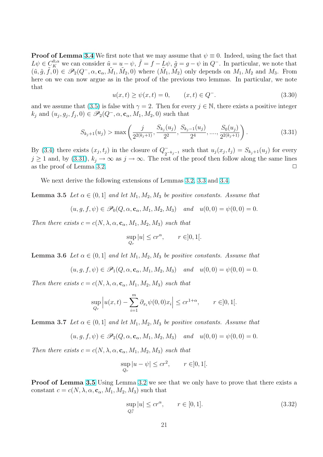**Proof of Lemma 3.4** We first note that we may assume that  $\psi \equiv 0$ . Indeed, using the fact that  $L\psi \in \mathcal{C}_K^{0,\alpha}$  we can consider  $\tilde{u} = u - \psi$ ,  $\tilde{f} = f - L\psi$ ,  $\tilde{g} = g - \psi$  in  $Q^-$ . In particular, we note that  $(\tilde{u}, \tilde{g}, \tilde{f}, 0) \in \mathscr{P}_2(Q^-,\alpha, \mathbf{c}_\alpha, \tilde{M}_1, \tilde{M}_2, 0)$  where  $(\tilde{M}_1, \tilde{M}_2)$  only depends on  $M_1, M_2$  and  $M_3$ . From here on we can no[w ar](#page-8-0)gue as in the proof of the previous two lemmas. In particular, we note that

$$
u(x,t) \ge \psi(x,t) = 0, \qquad (x,t) \in Q^-.
$$
\n(3.30)

and we assume that (3.5) is false with  $\gamma = 2$ . Then for every  $j \in \mathbb{N}$ , there exists a positive integer  $k_j$  and  $(u_j, g_j, f_j, 0) \in \mathscr{P}_2(Q^-, \alpha, \mathbf{c}_\alpha, M_1, M_2, 0)$  such that

$$
S_{k_j+1}(u_j) > \max\left(\frac{j}{2^{2(k_j+1)}}, \frac{S_{k_j}(u_j)}{2^2}, \frac{S_{k_j-1}(u_j)}{2^4}, \dots, \frac{S_0(u_j)}{2^{2(k_j+1)}}\right).
$$
\n(3.31)

By (3.4) there exists  $(x_j, t_j)$  in the closure of  $Q_{\sigma}^ ^{-}_{2^{-k_j-1}}$  such that  $u_j(x_j, t_j) = S_{k_j+1}(u_j)$  for every  $j \ge 1$  and, by (3.31),  $k_j \to \infty$  as  $j \to \infty$ . The rest of the proof then follow along the same lines as the proof of Lemma 3.2.  $\Box$ 

[We n](#page-14-0)ext derive the following extensions of Lemmas 3.2, 3.3 and 3.4.

**Lemma 3.5** Let  $\alpha \in (0,1]$  $\alpha \in (0,1]$  and let  $M_1, M_2, M_3$  be positive constants. Assume that

$$
(u, g, f, \psi) \in \mathscr{P}_0(Q, \alpha, \mathbf{c}_\alpha, M_1, M_2, M_3)
$$
 and  $u(0, 0) = \psi(0, 0) = 0$ .

Then there exists  $c = c(N, \lambda, \alpha, \mathbf{c}_{\alpha}, M_1, M_2, M_3)$  such that

$$
\sup_{Q_r} |u| \le cr^{\alpha}, \qquad r \in ]0,1[.
$$

**Lemma 3.6** Let  $\alpha \in (0,1]$  and let  $M_1, M_2, M_3$  be positive constants. Assume that

$$
(u,g,f,\psi)\in\mathscr{P}_1(Q,\alpha,\mathbf{c}_\alpha,M_1,M_2,M_3)\quad\text{and}\quad u(0,0)=\psi(0,0)=0.
$$

Then there exists  $c = c(N, \lambda, \alpha, \mathbf{c}_{\alpha}, M_1, M_2, M_3)$  such that

$$
\sup_{Q_r} |u(x,t) - \sum_{i=1}^m \partial_{x_i} \psi(0,0)x_i| \le cr^{1+\alpha}, \qquad r \in ]0,1[.
$$

**Lemma 3.7** Let  $\alpha \in (0,1]$  and let  $M_1, M_2, M_3$  be positive constants. Assume that

$$
(u, g, f, \psi) \in \mathscr{P}_2(Q, \alpha, \mathbf{c}_{\alpha}, M_1, M_2, M_3)
$$
 and  $u(0, 0) = \psi(0, 0) = 0$ .

Then there exists  $c = c(N, \lambda, \alpha, \mathbf{c}_{\alpha}, M_1, M_2, M_3)$  such that

$$
\sup_{Q_r} |u - \psi| \le cr^2, \qquad r \in ]0, 1[.
$$

**Proof of Lemma 3.5** Using Lemma 3.2 we see that we only have to prove that there exists a constant  $c = c(N, \lambda, \alpha, \mathbf{c}_{\alpha}, M_1, M_2, M_3)$  such that

$$
\sup_{Q_r^+}|u| \le cr^\alpha, \qquad r \in [0,1].\tag{3.32}
$$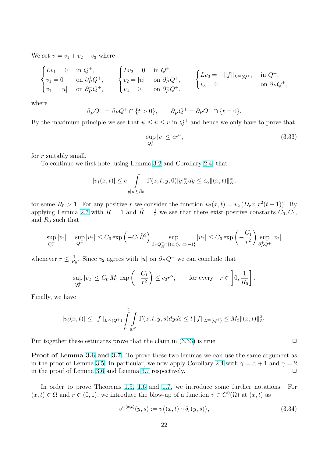We set  $v = v_1 + v_2 + v_3$  where

$$
\begin{cases}\nLv_1 = 0 & \text{in } Q^+, \\
v_1 = 0 & \text{on } \partial^+_P Q^+, \\
v_1 = |u| & \text{on } \partial^-_P Q^+, \\
v_1 = |u| & \text{on } \partial^-_P Q^+, \\
v_2 = 0 & \text{on } \partial^-_P Q^+, \\
v_2 = 0 & \text{on } \partial^-_P Q^+, \\
v_3 = 0\n\end{cases}\n\begin{cases}\nLv_3 = -\|f\|_{L^\infty(Q^+)} & \text{in } Q^+, \\
v_3 = 0 & \text{on } \partial^-_P Q^+, \\
v_4 = 0 & \text{on } \partial^-_P Q^+, \\
v_5 = 0 & \text{on } \partial^-_P Q^+, \\
v_6 = 0 & \text{on } \partial^-_P Q^+, \\
v_7 = 0 & \text{on } \partial^-_P Q^+, \\
v_8 = 0 & \text{on } \partial^-_P Q^+, \\
v_9 = 0 & \text{on } \partial^-_P Q^+, \\
v_1 = 0 & \text{on } \partial^-_P Q^+, \\
v_1 = 0 & \text{on } \partial^-_P Q^+, \\
v_2 = 0 & \text{on } \partial^-_P Q^+, \\
v_3 = 0 & \text{on } \partial^-_P Q^+, \\
v_4 = 0 & \text{on } \partial^-_P Q^+, \\
v_5 = 0 & \text{on } \partial^-_P Q^+, \\
v_6 = 0 & \text{on } \partial^-_P Q^+, \\
v_7 = 0 & \text{on } \partial^-_P Q^+, \\
v_8 = 0 & \text{on } \partial^-_P Q^+, \\
v_9 = 0 & \text{on } \partial^-_P Q^+, \\
v_1 = 0 & \text{on } \partial^-_P Q^+, \\
v_1 = 0 & \text{on } \partial^-_P Q^+, \\
v_1 = 0 & \text{on } \partial^-_P Q^+, \\
v_2 = 0 & \text{on } \partial^-_P Q^+, \\
v_3 = 0 & \text{on } \partial^-_P Q^+, \\
v_4 = 0 & \text{on } \partial^-_P Q^+, \\
v_5 = 0 & \text{on } \partial^-_P Q^+, \\
v_6 = 0 & \text{on } \partial^-_P Q^+, \\
v_7 = 0 & \text{on } \partial^-_P Q^+, \\
v_8 = 0 & \text{on } \partial^-_P Q^+, \\
v_9 = 0 & \text{on } \partial^-_
$$

where

$$
\partial^+_P Q^+ = \partial_P Q^+ \cap \{t > 0\}, \qquad \partial^-_P Q^+ = \partial_P Q^+ \cap \{t = 0\}.
$$

By the maximum principle we see that  $\psi \leq u \leq v$  in  $Q^+$  and hence we only have to prove that

$$
\sup_{Q_r^+} |v| \le cr^\alpha,\tag{3.33}
$$

for r suitably small.

To continue we first note, using Lemma 3.2 and Corollary 2.4, that

$$
|v_1(x,t)| \le c \int_{|y|_K \le R_0} \Gamma(x,t,y,0)|y|_K^{\alpha} dy \le c_{\alpha} ||(x,t)||_K^{\alpha},
$$

for some  $R_0 > 1$ . For any positive r we consider the function  $u_2(x,t) = v_2(D_rx, r^2(t+1))$ . By applying Lemma 2.7 with  $R = 1$  and  $\tilde{R} = \frac{1}{r}$  we see that there exist positive constants  $C_0, C_1$ , and  $R_0$  such that

$$
\sup_{Q_r^+} |v_2| = \sup_{Q^-} |u_2| \le C_0 \exp \left(-C_1 \tilde{R}^2\right) \sup_{\partial_P Q^-_{\tilde{R}} \cap \{(x,t): t > -1\}} |u_2| \le C_0 \exp \left(-\frac{C_1}{r^2}\right) \sup_{\partial_P^+ Q^+} |v_2|
$$

whenever  $r \leq \frac{1}{R}$  $\frac{1}{R_0}$ . Since  $v_2$  agrees with |u| on  $\partial^+_P Q^+$  we can conclude that

$$
\sup_{Q_r^+} |v_2| \le C_0 M_1 \exp\left(-\frac{C_1}{r^2}\right) \le c_2 r^{\alpha}, \quad \text{for every} \quad r \in \left]0, \frac{1}{R_0}\right].
$$

Finally, we have

$$
|v_3(x,t)| \leq \|f\|_{L^{\infty}(Q^+)} \int\limits_{0}^{t} \int\limits_{\mathbb{R}^N} \Gamma(x,t,y,s) dyds \leq t \, \|f\|_{L^{\infty}(Q^+)} \leq M_2 \|(x,t)\|_{K}^2.
$$

Put together these estimates prove that the claim in  $(3.33)$  is true.  $\Box$ 

Proof of Lemma 3.6 and 3.7. To prove these two lemmas we can use the same argument as in the proof of Lemma 3.5. In particular, we now apply Corollary 2.4 with  $\gamma = \alpha + 1$  and  $\gamma = 2$ in the proof of Lemma 3.6 and Lemma 3.7 respectively.  $\Box$ 

In order to pro[ve](#page-10-0) [The](#page-9-0)or[ems](#page-6-0) 1.5, 1.6 and 1.7, we introduce [som](#page-8-0)e further notations. For  $(x, t) \in \Omega$  and  $r \in (0, 1)$ , we introduce t[he b](#page-6-0)low-up of a function  $v \in C^{0}(\Omega)$  at  $(x, t)$  as

$$
v^{r,(x,t)}(y,s) := v((x,t) \circ \delta_r(y,s)),
$$
\n(3.34)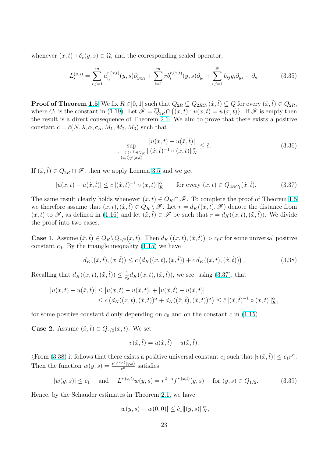<span id="page-22-0"></span>whenever  $(x, t) \circ \delta_r(y, s) \in \Omega$ , and the corresponding scaled operator,

$$
L_r^{(y,s)} = \sum_{i,j=1}^m a_{ij}^{r,(x,t)}(y,s)\partial_{y_iy_j} + \sum_{i=1}^m r b_i^{r,(x,t)}(y,s)\partial_{y_i} + \sum_{i,j=1}^N b_{ij}y_i\partial_{y_j} - \partial_s.
$$
 (3.35)

**Proof of Theorem 1.5** We fix  $R \in ]0,1[$  such that  $Q_{2R} \subseteq Q_{2RC_1}(\hat{x}, \hat{t}) \subseteq Q$  for every  $(\hat{x}, \hat{t}) \in Q_{2R}$ , where  $C_1$  is the constant in (1.19). Let  $\mathscr{F} = \overline{Q}_{2R} \cap \{(x,t): u(x,t) = \psi(x,t)\}\.$  If  $\mathscr{F}$  is empty then the result is a direct consequence of Theorem 2.1. We aim to prove that there exists a positive constant  $\hat{c} = \hat{c}(N, \lambda, \alpha, \mathbf{c}_{\alpha}, M_1, M_2, M_3)$  such that

$$
\sup_{\substack{(x,t),(\hat{x},\hat{t})\in Q_R\\(x,t)\neq(\hat{x},\hat{t})}}\frac{|u(x,t)-u(\hat{x},\hat{t})|}{\|(\hat{x},\hat{t})^{-1}\circ(x,t)\|_K^{\alpha}} \leq \hat{c}.\tag{3.36}
$$

If  $(\hat{x}, \hat{t}) \in Q_{2R} \cap \mathscr{F}$ , then we apply Lemma 3.5 and we get

$$
|u(x,t) - u(\hat{x},\hat{t})| \le c \|(\hat{x},\hat{t})^{-1} \circ (x,t) \|_{K}^{\alpha} \quad \text{for every } (x,t) \in Q_{2RC_1}(\hat{x},\hat{t}). \tag{3.37}
$$

The same result clearly holds whenever  $(x, t) \in Q_R \cap \mathcal{F}$ . To complete the proof of Theorem 1.5 we therefore assume that  $(x, t), (\hat{x}, \hat{t}) \in Q_R \setminus \mathscr{F}$ . Let  $r = d_K((x, t), \mathscr{F})$  denote the distance from  $(x, t)$  to  $\mathscr{F}$ , as defined in (1.16) and let  $(\tilde{x}, \tilde{t}) \in \mathscr{F}$  be such that  $r = d_K((x, t), (\tilde{x}, \tilde{t}))$ . We divide the proof into two cases.

**Case 1.** Assume  $(\hat{x}, \hat{t}) \in Q_R \setminus Q_{r/2}(x, t)$ . Then  $d_K((x, t), (\hat{x}, \hat{t}))$  $> c_0 r$  for some universal positive constant  $c_0$ . By the triang[le ine](#page-3-0)quality (1.15) we have

$$
d_K((\hat{x}, \hat{t}), (\tilde{x}, \tilde{t})) \le c \left( d_K((x, t), (\tilde{x}, \tilde{t})) + c \, d_K((x, t), (\hat{x}, \hat{t})) \right). \tag{3.38}
$$

Recalling that  $d_K((x,t),(\tilde{x},\tilde{t})) \leq \frac{1}{c\epsilon}$  $\frac{1}{c_0}$  d<sub>K</sub>(([x, t](#page-3-0)), (x̂, t)), we see, using (3.37), that

$$
|u(x,t) - u(\hat{x},\hat{t})| \le |u(x,t) - u(\tilde{x},\tilde{t})| + |u(\hat{x},\hat{t}) - u(\tilde{x},\tilde{t})|
$$
  
\n
$$
\le c \left( d_K((x,t),(\tilde{x},\tilde{t}))^{\alpha} + d_K((\hat{x},\hat{t}),(\tilde{x},\tilde{t}))^{\alpha} \right) \le \hat{c} ||(\hat{x},\hat{t})^{-1} \circ (x,t) ||_K^{\alpha},
$$

for some positive constant  $\hat{c}$  only depending on  $c_0$  and on the constant c in (1.15).

**Case 2.** Assume  $(\hat{x}, \hat{t}) \in Q_{r/2}(x, t)$ . We set

$$
v(\hat{x},\hat{t}) = u(\hat{x},\hat{t}) - u(\tilde{x},\tilde{t}).
$$

*i*. From (3.38) it follows that there exists a positive universal constant  $c_1$  such that  $|v(\hat{x}, \hat{t})| \leq c_1 r^{\alpha}$ . Then the function  $w(y, s) = \frac{v^{r,(x,t)}(y,s)}{r^{\alpha}}$  satisfies

$$
|w(y, s)| \le c_1
$$
 and  $L^{r, (x,t)}w(y, s) = r^{2-\alpha} f^{r, (x,t)}(y, s)$  for  $(y, s) \in Q_{1/2}$ . (3.39)

Hence, by the Schauder estimates in Theorem 2.1, we have

$$
|w(y,s)-w(0,0)|\leq \hat{c}_1\|(y,s)\|_K^{\alpha},
$$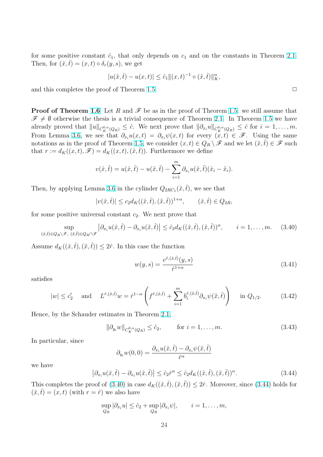<span id="page-23-0"></span>for some positive constant  $\hat{c}_1$ , that only depends on  $c_1$  and on the constants in Theorem 2.1. Then, for  $(\hat{x}, \hat{t}) = (x, t) \circ \delta_r(y, s)$ , we get

$$
|u(\hat{x}, \hat{t}) - u(x, t)| \leq \hat{c}_1 ||(x, t)^{-1} \circ (\hat{x}, \hat{t})||_K^{\alpha},
$$

and this completes the proof of Theorem 1.5.  $\Box$ 

**Proof of Theorem 1.6** Let R and  $\mathscr F$  be as in the proof of Theorem 1.5: we still assume that  $\mathscr{F} \neq \emptyset$  otherwise the thesis is a trivial c[onse](#page-9-0)quence of Theorem 2.1. In Theorem 1.5 we have already proved that  $||u||_{C_K^{0,\alpha}(Q_R)} \leq \hat{c}$ . We next prove that  $||\partial_{x_i}u||_{C_K^{0,\alpha}(Q_R)} \leq \hat{c}$  for  $i = 1,\ldots,m$ . From Lemma 3.6, w[e se](#page-10-0)e that  $\partial_{x_i}u(x,t) = \partial_{x_i}\psi(x,t)$  for every  $(x,t) \in \mathscr{F}$ . Using the same notations as in the proof of Theorem 1.5, we consider  $(x, t) \in Q_R \setminus \mathscr{F}$  $(x, t) \in Q_R \setminus \mathscr{F}$  $(x, t) \in Q_R \setminus \mathscr{F}$  and we let  $(\tilde{x}, \tilde{t}) \in \mathscr{F}$  such that  $r := d_K((x,t), \mathscr{F}) = d_K((x,t),(\tilde{x},\tilde{t}))$ . Furthermore we define

$$
v(\hat{x},\hat{t}) = u(\hat{x},\hat{t}) - u(\tilde{x},\tilde{t}) - \sum_{i=1}^{m} \partial_{x_i} u(\tilde{x},\tilde{t})(\hat{x}_i - \tilde{x}_i).
$$

Then, by applying Lemma 3.6 in the cylinder  $Q_{2RC_1}(\tilde{x}, \tilde{t})$ , we see that

$$
|v(\hat{x},\hat{t})| \le c_2 d_K((\hat{x},\hat{t}),(\tilde{x},\tilde{t}))^{1+\alpha}, \qquad (\hat{x},\hat{t}) \in Q_{2R},
$$

for some positive universal [con](#page-10-0)stant  $c_2$ . We next prove that

$$
\sup_{(\hat{x},\hat{t})\in Q_R\setminus\mathscr{F},\ (\tilde{x},\hat{t})\in Q_R\cap\mathscr{F}}\left|\partial_{x_i}u(\hat{x},\hat{t})-\partial_{x_i}u(\tilde{x},\hat{t})\right|\leq \hat{c}_3d_K((\hat{x},\hat{t}),(\tilde{x},\hat{t}))^{\alpha},\qquad i=1,\ldots,m.\tag{3.40}
$$

Assume  $d_K((\hat{x},\hat{t}),(\tilde{x},\tilde{t})) \leq 2\hat{r}$ . In this case the function

$$
w(y,s) = \frac{v^{\hat{r},(\hat{x},\hat{t})}(y,s)}{\hat{r}^{1+\alpha}}
$$
\n(3.41)

satisfies

$$
|w| \le c'_2
$$
 and  $L^{\hat{r},(\hat{x},\hat{t})}w = \hat{r}^{1-\alpha} \left(f^{\hat{r},(\hat{x},\hat{t})} + \sum_{i=1}^m b_i^{\hat{r},(\hat{x},\hat{t})} \partial_{x_i} \psi(\tilde{x},\tilde{t})\right)$  in  $Q_{1/2}$ . (3.42)

Hence, by the Schauder estimates in Theorem 2.1,

$$
\|\partial_{y_i} w\|_{C_K^{0,\alpha}(Q_R)} \leq \hat{c}_2, \qquad \text{for } i = 1, \dots, m. \tag{3.43}
$$

In particular, since

$$
\partial_{y_i} w(0,0) = \frac{\partial_{x_i} u(\hat{x}, \hat{t}) - \partial_{x_i} \psi(\tilde{x}, \tilde{t})}{\hat{r}^{\alpha}}
$$

we have

$$
\left|\partial_{x_i} u(\hat{x},\hat{t}) - \partial_{x_i} u(\tilde{x},\tilde{t})\right| \leq \hat{c}_2 \hat{r}^{\alpha} \leq \hat{c}_2 d_K((\hat{x},\hat{t}),(\tilde{x},\tilde{t}))^{\alpha}.
$$
\n(3.44)

This completes the proof of  $(3.40)$  in case  $d_K((\hat{x},\hat{t}),(\tilde{x},\tilde{t})) \leq 2\hat{r}$ . Moreover, since  $(3.44)$  holds for  $(\hat{x},\hat{t}) = (x,t)$  (with  $r = \hat{r}$ ) we also have

$$
\sup_{Q_R} |\partial_{x_i} u| \leq \hat{c}_2 + \sup_{Q_R} |\partial_{x_i} \psi|, \qquad i = 1, \dots, m,
$$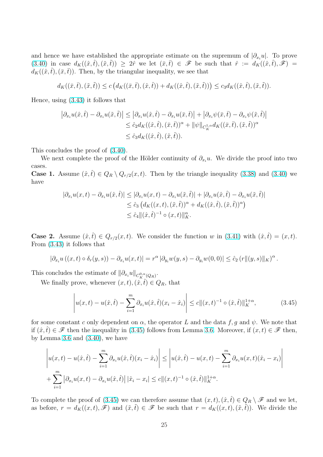and hence we have established the appropriate estimate on the supremum of  $|\partial_{x_i}u|$ . To prove (3.40) in case  $d_K((\hat{x},\hat{t}),(\tilde{x},\tilde{t})) \geq 2\hat{r}$  we let  $(\bar{x},\bar{t}) \in \mathscr{F}$  be such that  $\hat{r} := d_K((\hat{x},\hat{t}),\mathscr{F}) =$  $d_K((\hat{x},\hat{t}),(\bar{x},\bar{t}))$ . Then, by the triangular inequality, we see that

$$
d_K((\bar{x},\bar{t}),(\tilde{x},\tilde{t})) \leq c\left(d_K((\bar{x},\bar{t}),(\hat{x},\hat{t}))+d_K((\hat{x},\hat{t}),(\tilde{x},\tilde{t}))\right) \leq c_3d_K((\hat{x},\hat{t}),(\tilde{x},\tilde{t})).
$$

Hence, using (3.43) it follows that

$$
\begin{aligned} \left| \partial_{x_i} u(\hat{x}, \hat{t}) - \partial_{x_i} u(\tilde{x}, \tilde{t}) \right| &\leq \left| \partial_{x_i} u(\hat{x}, \hat{t}) - \partial_{x_i} u(\bar{x}, \bar{t}) \right| + \left| \partial_{x_i} \psi(\bar{x}, \bar{t}) - \partial_{x_i} \psi(\tilde{x}, \tilde{t}) \right| \\ &\leq \hat{c}_2 d_K((\hat{x}, \hat{t}), (\bar{x}, \bar{t}))^\alpha + \|\psi\|_{C_K^{1,\alpha}} d_K((\bar{x}, \bar{t}), (\tilde{x}, \tilde{t}))^\alpha \\ &\leq \hat{c}_3 d_K((\hat{x}, \hat{t}), (\tilde{x}, \tilde{t})). \end{aligned}
$$

This concludes the proof of (3.40).

We next complete the proof of the Hölder continuity of  $\partial_{x_i}u$ . We divide the proof into two cases.

**Case 1.** Assume  $(\hat{x}, \hat{t}) \in Q_R \setminus Q_{r/2}(x, t)$  $(\hat{x}, \hat{t}) \in Q_R \setminus Q_{r/2}(x, t)$  $(\hat{x}, \hat{t}) \in Q_R \setminus Q_{r/2}(x, t)$ . Then by the triangle inequality (3.38) and (3.40) we have

$$
\begin{aligned} |\partial_{x_i} u(x,t) - \partial_{x_i} u(\hat{x},\hat{t})| &\leq |\partial_{x_i} u(x,t) - \partial_{x_i} u(\tilde{x},\tilde{t})| + |\partial_{x_i} u(\hat{x},\hat{t}) - \partial_{x_i} u(\tilde{x},\tilde{t})| \\ &\leq \hat{c}_3 \left( d_K((x,t),(\tilde{x},\tilde{t}))^\alpha + d_K((\hat{x},\hat{t}),(\tilde{x},\tilde{t}))^\alpha \right) \\ &\leq \hat{c}_4 \|(\hat{x},\hat{t})^{-1} \circ (x,t) \|_K^\alpha. \end{aligned}
$$

**Case 2.** Assume  $(\hat{x}, \hat{t}) \in Q_{r/2}(x, t)$ . We consider the function w in (3.41) with  $(\hat{x}, \hat{t}) = (x, t)$ . From (3.43) it follows that

$$
|\partial_{x_i} u((x,t)\circ \delta_r(y,s)) - \partial_{x_i} u(x,t)| = r^{\alpha} |\partial_{y_i} w(y,s) - \partial_{y_i} w(0,0)| \leq \hat{c}_2 (r||(y,s)||_K)^{\alpha}.
$$

This c[onclu](#page-23-0)des the estimate of  $\|\partial_{x_i}u\|_{C_K^{0,\alpha}(Q_R)}$ .

We finally prove, whenever  $(x, t), (\hat{x}, \hat{t}) \in Q_R$ , that

$$
\left| u(x,t) - u(\hat{x},\hat{t}) - \sum_{i=1}^{m} \partial_{x_i} u(\hat{x},\hat{t}) (x_i - \hat{x}_i) \right| \le c \| (x,t)^{-1} \circ (\hat{x},\hat{t}) \|_{K}^{1+\alpha}, \tag{3.45}
$$

for some constant c only dependent on  $\alpha$ , the operator L and the data f, g and  $\psi$ . We note that if  $(\hat{x}, \hat{t}) \in \mathscr{F}$  then the inequality in (3.45) follows from Lemma 3.6. Moreover, if  $(x, t) \in \mathscr{F}$  then, by Lemma 3.6 and  $(3.40)$ , we have

$$
\left| u(x,t) - u(\hat{x},\hat{t}) - \sum_{i=1}^{m} \partial_{x_i} u(\hat{x},\hat{t}) (x_i - \hat{x}_i) \right| \leq \left| u(\hat{x},\hat{t}) - u(x,t) - \sum_{i=1}^{m} \partial_{x_i} u(x,t) (\hat{x}_i - x_i) \right|
$$
  
+ 
$$
\sum_{i=1}^{m} \left| \partial_{x_i} u(x,t) - \partial_{x_i} u(\hat{x},\hat{t}) \right| |\hat{x}_i - x_i| \leq c \| (x,t)^{-1} \circ (\hat{x},\hat{t}) \|_{K}^{1+\alpha}.
$$

To complete the proof of (3.45) we can therefore assume that  $(x, t), (\hat{x}, \hat{t}) \in Q_R \setminus \mathscr{F}$  and we let, as before,  $r = d_K((x, t), \mathcal{F})$  and  $(\tilde{x}, \tilde{t}) \in \mathcal{F}$  be such that  $r = d_K((x, t), (\tilde{x}, \tilde{t}))$ . We divide the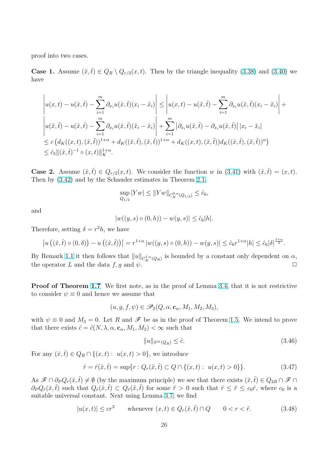<span id="page-25-0"></span>proof into two cases.

**Case 1.** Assume  $(\hat{x}, \hat{t}) \in Q_R \setminus Q_{r/2}(x, t)$ . Then by the triangle inequality (3.38) and (3.40) we have

$$
\left| u(x,t) - u(\hat{x},\hat{t}) - \sum_{i=1}^{m} \partial_{x_i} u(\hat{x},\hat{t}) (x_i - \hat{x}_i) \right| \leq \left| u(x,t) - u(\tilde{x},\tilde{t}) - \sum_{i=1}^{m} \partial_{x_i} u(\tilde{x},\tilde{t}) (x_i - \tilde{x}_i) \right| +
$$
  

$$
\left| u(\tilde{x},\tilde{t}) - u(\hat{x},\hat{t}) - \sum_{i=1}^{m} \partial_{x_i} u(\hat{x},\hat{t}) (\tilde{x}_i - \hat{x}_i) \right| + \sum_{i=1}^{m} \left| \partial_{x_i} u(\tilde{x},\tilde{t}) - \partial_{x_i} u(\hat{x},\hat{t}) \right| |x_i - \tilde{x}_i|
$$
  

$$
\leq c \left( d_K((x,t),(\tilde{x},\tilde{t}))^{1+\alpha} + d_K((\hat{x},\hat{t}),(\tilde{x},\tilde{t}))^{1+\alpha} + d_K((x,t),(\tilde{x},\tilde{t})) d_K((\hat{x},\hat{t}),(\tilde{x},\tilde{t}))^{\alpha} \right)
$$
  

$$
\leq \hat{c}_5 ||(\hat{x},\hat{t})^{-1} \circ (x,t) ||_{K}^{1+\alpha}.
$$

**Case 2.** Assume  $(\hat{x}, \hat{t}) \in Q_{r/2}(x, t)$ . We consider the function w in (3.41) with  $(\hat{x}, \hat{t}) = (x, t)$ . Then by (3.42) and by the Schauder estimates in Theorem 2.1,

$$
\sup_{Q_{1/2}} |Yw| \le ||Yw||_{C_K^{0,\alpha}(Q_{1/2})} \le \hat{c}_6,
$$

and

$$
|w((y,s) \circ (0,h)) - w(y,s)| \le \hat{c}_6|h|.
$$

Therefore, setting  $\delta = r^2 h$ , we have

$$
\left| u\left( (\hat{x}, \hat{t}) \circ (0, \delta) \right) - u\left( (\hat{x}, \hat{t}) \right) \right| = r^{1+\alpha} \left| w((y, s) \circ (0, h)) - w(y, s) \right| \leq \hat{c}_6 r^{1+\alpha} |h| \leq \hat{c}_6 |\delta|^{\frac{1+\alpha}{2}}.
$$

By Remark 1.1 it then follows that  $||u||_{C_K^{1,\alpha}(Q_R)}$  is bounded by a constant only dependent on  $\alpha$ , the operator L and the data f, g and  $\psi$ .

**Proof of T[heo](#page-4-0)rem 1.7** We first note, as in the proof of Lemma 3.4, that it is not restrictive to consider  $\psi \equiv 0$  and hence we assume that

$$
(u, g, f, \psi) \in \mathscr{P}_2(Q, \alpha, \mathbf{c}_\alpha, M_1, M_2, M_3),
$$

with  $\psi \equiv 0$  and  $M_3 = 0$ . Let R and  $\mathscr F$  be as in the proof of Theorem 1.5. We intend to prove that there exists  $\hat{c} = \hat{c}(N, \lambda, \alpha, \mathbf{c}_{\alpha}, M_1, M_2) < \infty$  such that

$$
||u||_{S^{\infty}(Q_R)} \leq \hat{c}.\tag{3.46}
$$

For any  $(\hat{x}, \hat{t}) \in Q_R \cap \{(x, t): u(x, t) > 0\}$ , we introduce

$$
\hat{r} = \hat{r}(\hat{x}, \hat{t}) = \sup\{r : Q_r(\hat{x}, \hat{t}) \subset Q \cap \{(x, t) : u(x, t) > 0\}\}.
$$
\n(3.47)

As  $\mathscr{F} \cap \partial_P Q_{\hat{r}}(\hat{x},\hat{t}) \neq \emptyset$  (by the maximum principle) we see that there exists  $(\tilde{x},\tilde{t}) \in Q_{2R} \cap \mathscr{F} \cap \mathscr{E}$  $\partial_P Q_{\hat{r}}(\hat{x},\hat{t})$  such that  $Q_{\hat{r}}(\hat{x},\hat{t}) \subset Q_{\tilde{r}}(\tilde{x},\tilde{t})$  for some  $\tilde{r} > 0$  such that  $\hat{r} \leq \tilde{r} \leq c_0\hat{r}$ , where  $c_0$  is a suitable universal constant. Next using Lemma 3.7, we find

$$
|u(x,t)| \le cr^2 \qquad \text{whenever } (x,t) \in Q_r(\tilde{x},\tilde{t}) \cap Q \qquad 0 < r < \tilde{r}.\tag{3.48}
$$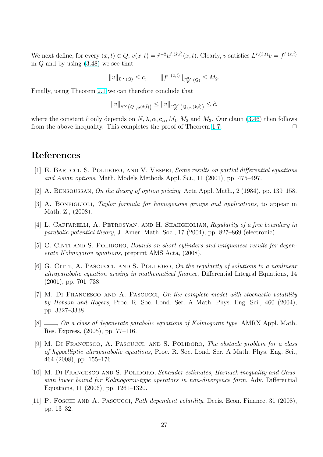<span id="page-26-0"></span>We next define, for every  $(x,t) \in Q$ ,  $v(x,t) = \hat{r}^{-2}u^{\hat{r},(\hat{x},\hat{t})}(x,t)$ . Clearly, v satisfies  $L^{\hat{r},(\hat{x},\hat{t})}v = f^{\hat{r},(\hat{x},\hat{t})}$ in Q and by using (3.48) we see that

$$
||v||_{L^{\infty}(Q)} \leq c, \qquad ||f^{\hat{r},(\hat{x},\hat{t})}||_{C^{\textbf{0},\alpha}_{K}(Q)} \leq M_2.
$$

Finally, using Theo[rem](#page-25-0) 2.1 we can therefore conclude that

$$
||v||_{S^{\infty}\left(Q_{1/2}(\hat{x},\hat{t})\right)} \leq ||v||_{C_K^{2,\alpha}\left(Q_{1/2}(\hat{x},\hat{t})\right)} \leq \hat{c}.
$$

where the constant  $\hat{c}$  on[ly d](#page-4-0)epends on  $N, \lambda, \alpha, \mathbf{c}_{\alpha}, M_1, M_2$  and  $M_3$ . Our claim (3.46) then follows from the above inequality. This completes the proof of Theorem 1.7.  $\Box$ 

#### References

- [1] E. BARUCCI, S. POLIDORO, AND V. VESPRI, Some results on partial differential equations and Asian options, Math. Models Methods Appl. Sci., 11 (2001), pp. 475–497.
- [2] A. Bensoussan, On the theory of option pricing, Acta Appl. Math., 2 (1984), pp. 139–158.
- [3] A. BONFIGLIOLI, Taylor formula for homogenous groups and applications, to appear in Math. Z., (2008).
- [4] L. CAFFARELLI, A. PETROSYAN, AND H. SHAHGHOLIAN, Regularity of a free boundary in parabolic potential theory, J. Amer. Math. Soc., 17 (2004), pp. 827–869 (electronic).
- [5] C. CINTI AND S. POLIDORO, *Bounds on short cylinders and uniqueness results for degen*erate Kolmogorov equations, preprint AMS Acta, (2008).
- [6] G. CITTI, A. PASCUCCI, AND S. POLIDORO, On the regularity of solutions to a nonlinear ultraparabolic equation arising in mathematical finance, Differential Integral Equations, 14 (2001), pp. 701–738.
- [7] M. Di Francesco and A. Pascucci, On the complete model with stochastic volatility by Hobson and Rogers, Proc. R. Soc. Lond. Ser. A Math. Phys. Eng. Sci., 460 (2004), pp. 3327–3338.
- $[8]$   $\_\_\_\_\_$  On a class of degenerate parabolic equations of Kolmogorov type, AMRX Appl. Math. Res. Express, (2005), pp. 77–116.
- [9] M. DI FRANCESCO, A. PASCUCCI, AND S. POLIDORO, The obstacle problem for a class of hypoelliptic ultraparabolic equations, Proc. R. Soc. Lond. Ser. A Math. Phys. Eng. Sci., 464 (2008), pp. 155–176.
- [10] M. DI FRANCESCO AND S. POLIDORO, Schauder estimates, Harnack inequality and Gaussian lower bound for Kolmogorov-type operators in non-divergence form, Adv. Differential Equations, 11 (2006), pp. 1261–1320.
- [11] P. Foschi and A. Pascucci, Path dependent volatility, Decis. Econ. Finance, 31 (2008), pp. 13–32.